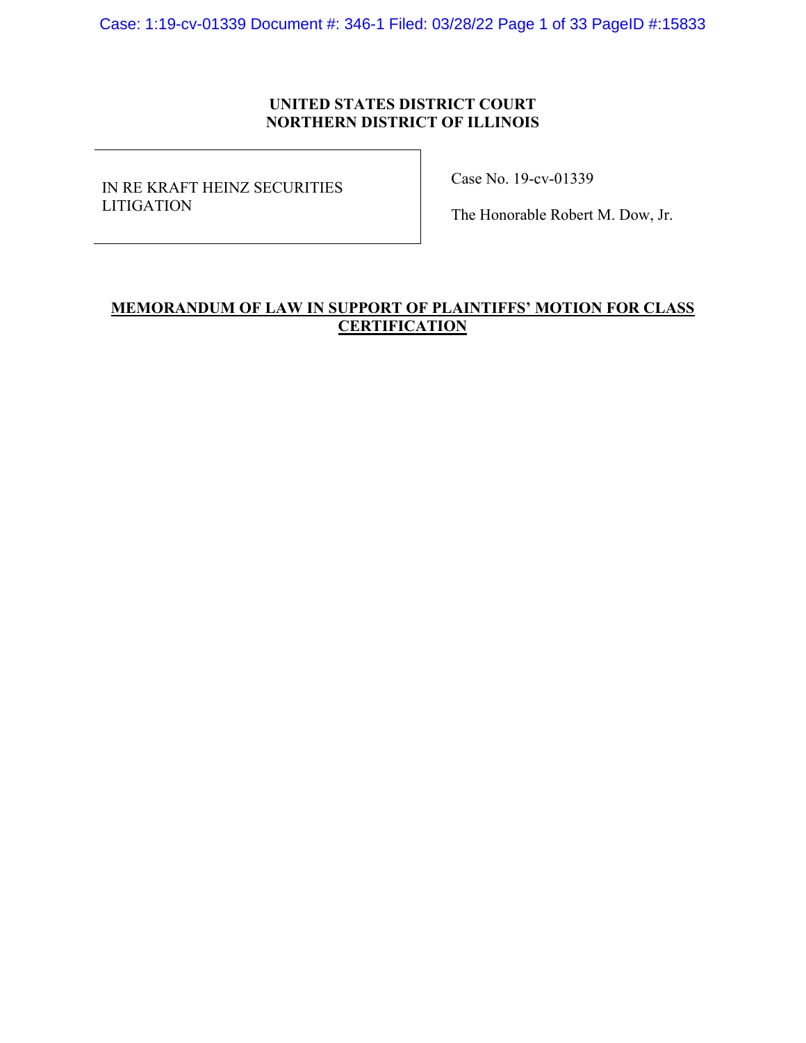Case: 1:19-cv-01339 Document #: 346-1 Filed: 03/28/22 Page 1 of 33 PageID #:15833

# **UNITED STATES DISTRICT COURT NORTHERN DISTRICT OF ILLINOIS**

IN RE KRAFT HEINZ SECURITIES LITIGATION

Case No. 19-cv-01339

The Honorable Robert M. Dow, Jr.

# **MEMORANDUM OF LAW IN SUPPORT OF PLAINTIFFS' MOTION FOR CLASS CERTIFICATION**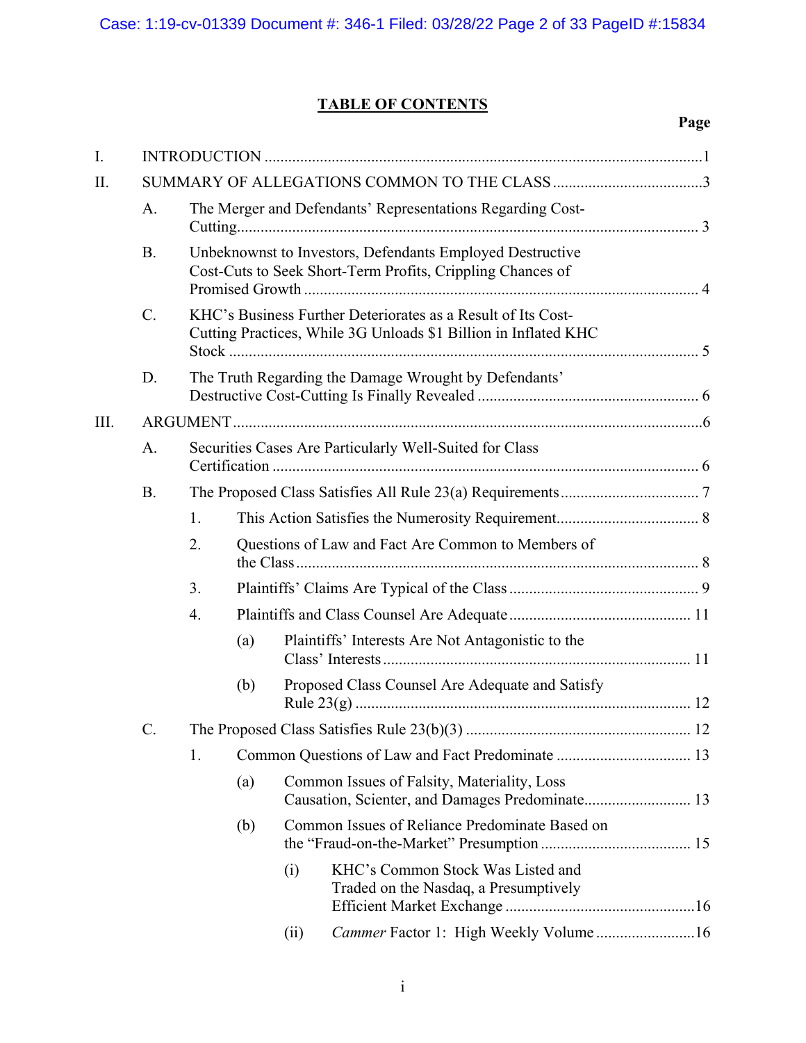# **TABLE OF CONTENTS**

**Page** 

| A.        |                                                                                                                                 | The Merger and Defendants' Representations Regarding Cost-                                                              |      |                                                                            |  |
|-----------|---------------------------------------------------------------------------------------------------------------------------------|-------------------------------------------------------------------------------------------------------------------------|------|----------------------------------------------------------------------------|--|
| <b>B.</b> |                                                                                                                                 | Unbeknownst to Investors, Defendants Employed Destructive<br>Cost-Cuts to Seek Short-Term Profits, Crippling Chances of |      |                                                                            |  |
| C.        | KHC's Business Further Deteriorates as a Result of Its Cost-<br>Cutting Practices, While 3G Unloads \$1 Billion in Inflated KHC |                                                                                                                         |      |                                                                            |  |
| D.        | The Truth Regarding the Damage Wrought by Defendants'                                                                           |                                                                                                                         |      |                                                                            |  |
|           |                                                                                                                                 |                                                                                                                         |      |                                                                            |  |
| A.        |                                                                                                                                 |                                                                                                                         |      | Securities Cases Are Particularly Well-Suited for Class                    |  |
| <b>B.</b> |                                                                                                                                 |                                                                                                                         |      |                                                                            |  |
|           | 1.                                                                                                                              |                                                                                                                         |      |                                                                            |  |
|           | 2.                                                                                                                              |                                                                                                                         |      | Questions of Law and Fact Are Common to Members of                         |  |
|           | 3.                                                                                                                              |                                                                                                                         |      |                                                                            |  |
|           | 4.                                                                                                                              |                                                                                                                         |      |                                                                            |  |
|           |                                                                                                                                 | (a)                                                                                                                     |      | Plaintiffs' Interests Are Not Antagonistic to the                          |  |
|           |                                                                                                                                 | (b)                                                                                                                     |      | Proposed Class Counsel Are Adequate and Satisfy                            |  |
| C.        |                                                                                                                                 |                                                                                                                         |      |                                                                            |  |
|           | 1.                                                                                                                              |                                                                                                                         |      |                                                                            |  |
|           |                                                                                                                                 | (a)                                                                                                                     |      | Common Issues of Falsity, Materiality, Loss                                |  |
|           |                                                                                                                                 | (b)                                                                                                                     |      | Common Issues of Reliance Predominate Based on                             |  |
|           |                                                                                                                                 |                                                                                                                         | (i)  | KHC's Common Stock Was Listed and<br>Traded on the Nasdaq, a Presumptively |  |
|           |                                                                                                                                 |                                                                                                                         | (ii) | Cammer Factor 1: High Weekly Volume16                                      |  |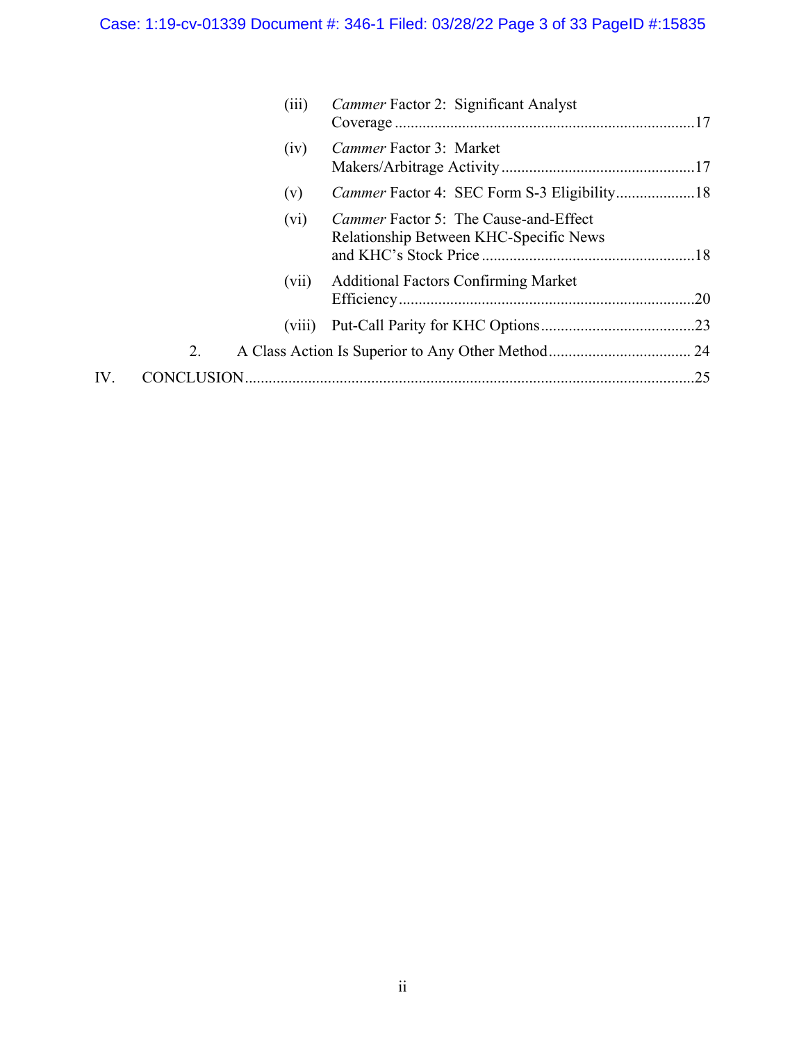|     |    | (iii)   | Cammer Factor 2: Significant Analyst                                                   |  |
|-----|----|---------|----------------------------------------------------------------------------------------|--|
|     |    | (iv)    | Cammer Factor 3: Market                                                                |  |
|     |    | (v)     |                                                                                        |  |
|     |    | $(v_i)$ | <i>Cammer</i> Factor 5: The Cause-and-Effect<br>Relationship Between KHC-Specific News |  |
|     |    | (vii)   | <b>Additional Factors Confirming Market</b>                                            |  |
|     |    | (viii)  |                                                                                        |  |
|     | 2. |         |                                                                                        |  |
| IV. |    |         |                                                                                        |  |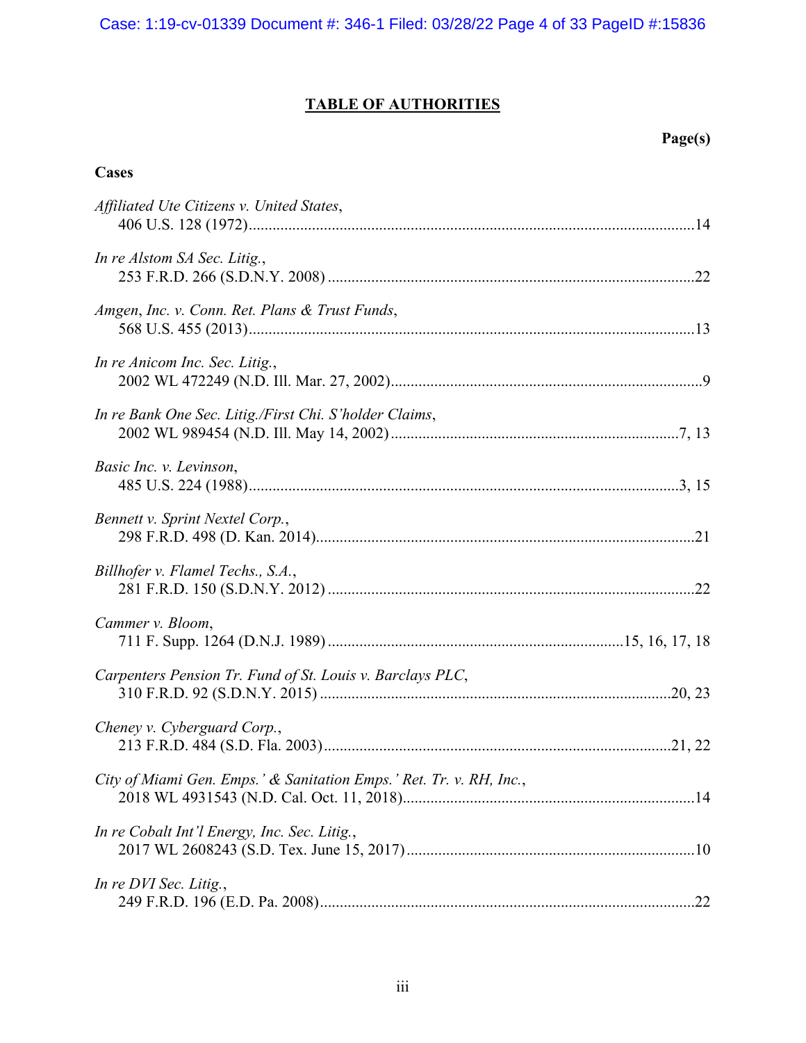# **TABLE OF AUTHORITIES**

# **Page(s)**

# **Cases**

| Affiliated Ute Citizens v. United States,                           |  |
|---------------------------------------------------------------------|--|
| In re Alstom SA Sec. Litig.,                                        |  |
| Amgen, Inc. v. Conn. Ret. Plans & Trust Funds,                      |  |
| In re Anicom Inc. Sec. Litig.,                                      |  |
| In re Bank One Sec. Litig./First Chi. S'holder Claims,              |  |
| Basic Inc. v. Levinson,                                             |  |
| Bennett v. Sprint Nextel Corp.,                                     |  |
| Billhofer v. Flamel Techs., S.A.,                                   |  |
| Cammer v. Bloom,                                                    |  |
| Carpenters Pension Tr. Fund of St. Louis v. Barclays PLC,           |  |
| Cheney v. Cyberguard Corp.,                                         |  |
| City of Miami Gen. Emps.' & Sanitation Emps.' Ret. Tr. v. RH, Inc., |  |
| In re Cobalt Int'l Energy, Inc. Sec. Litig.,                        |  |
| In re DVI Sec. Litig.,                                              |  |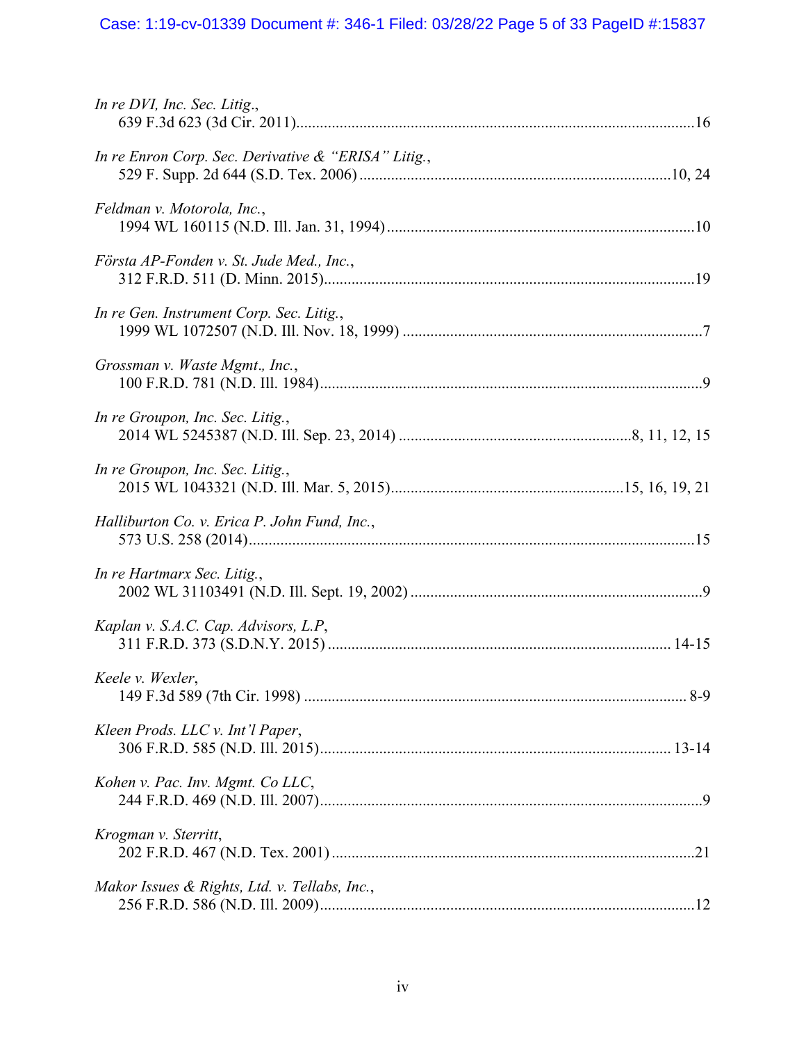# Case: 1:19-cv-01339 Document #: 346-1 Filed: 03/28/22 Page 5 of 33 PageID #:15837

| In re DVI, Inc. Sec. Litig.,                        |  |
|-----------------------------------------------------|--|
| In re Enron Corp. Sec. Derivative & "ERISA" Litig., |  |
| Feldman v. Motorola, Inc.,                          |  |
| Första AP-Fonden v. St. Jude Med., Inc.,            |  |
| In re Gen. Instrument Corp. Sec. Litig.,            |  |
| Grossman v. Waste Mgmt., Inc.,                      |  |
| In re Groupon, Inc. Sec. Litig.,                    |  |
| In re Groupon, Inc. Sec. Litig.,                    |  |
| Halliburton Co. v. Erica P. John Fund, Inc.,        |  |
| In re Hartmarx Sec. Litig.,                         |  |
| Kaplan v. S.A.C. Cap. Advisors, L.P,                |  |
| Keele v. Wexler,                                    |  |
| Kleen Prods. LLC v. Int'l Paper,                    |  |
| Kohen v. Pac. Inv. Mgmt. Co LLC,                    |  |
| Krogman v. Sterritt,                                |  |
| Makor Issues & Rights, Ltd. v. Tellabs, Inc.,       |  |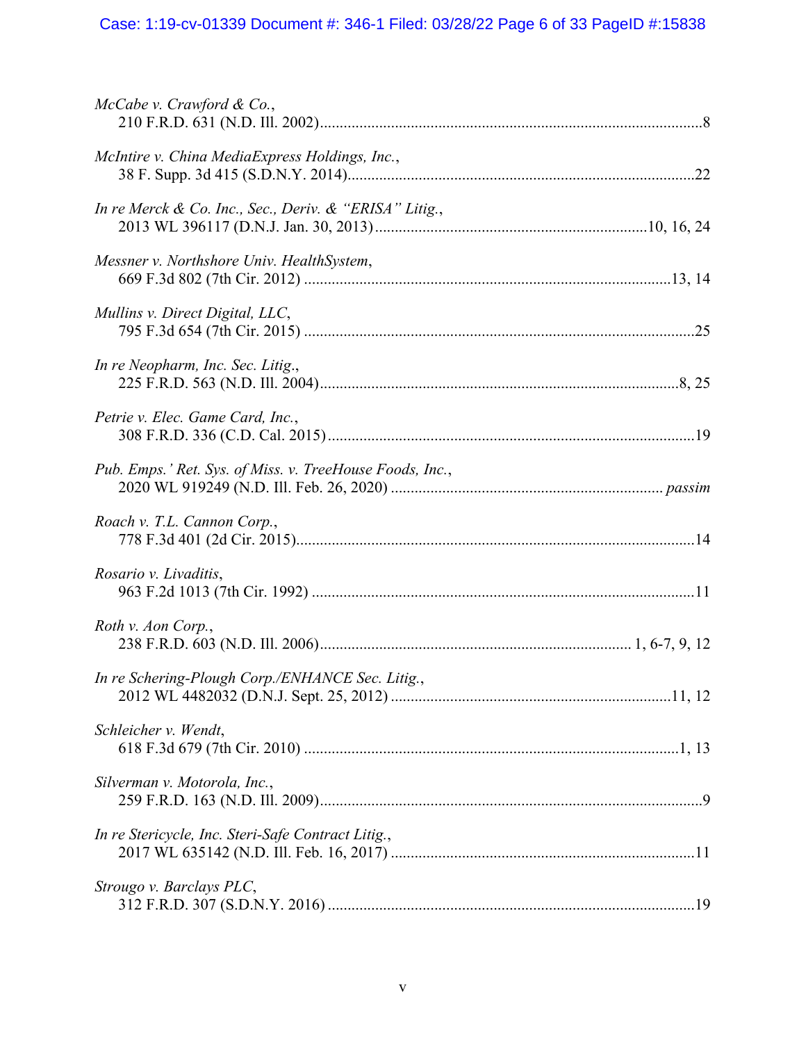# Case: 1:19-cv-01339 Document #: 346-1 Filed: 03/28/22 Page 6 of 33 PageID #:15838

| $McCabe$ v. Crawford & Co.,                              |  |
|----------------------------------------------------------|--|
| McIntire v. China MediaExpress Holdings, Inc.,           |  |
| In re Merck & Co. Inc., Sec., Deriv. & "ERISA" Litig.,   |  |
| Messner v. Northshore Univ. HealthSystem,                |  |
| Mullins v. Direct Digital, LLC,                          |  |
| In re Neopharm, Inc. Sec. Litig.,                        |  |
| Petrie v. Elec. Game Card, Inc.,                         |  |
| Pub. Emps.' Ret. Sys. of Miss. v. TreeHouse Foods, Inc., |  |
| Roach v. T.L. Cannon Corp.,                              |  |
| Rosario v. Livaditis,                                    |  |
| Roth v. Aon Corp.,                                       |  |
| In re Schering-Plough Corp./ENHANCE Sec. Litig.,         |  |
| Schleicher v. Wendt,                                     |  |
| Silverman v. Motorola, Inc.,                             |  |
| In re Stericycle, Inc. Steri-Safe Contract Litig.,       |  |
|                                                          |  |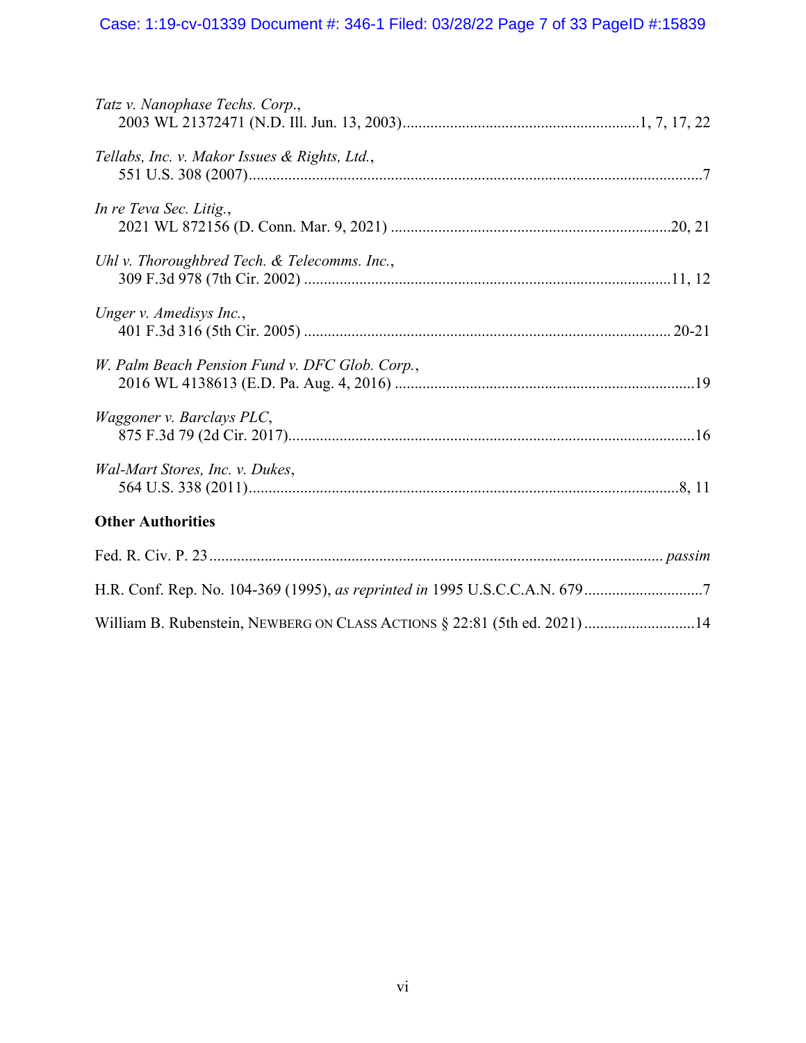# Case: 1:19-cv-01339 Document #: 346-1 Filed: 03/28/22 Page 7 of 33 PageID #:15839

| Tatz v. Nanophase Techs. Corp.,                                           |
|---------------------------------------------------------------------------|
| Tellabs, Inc. v. Makor Issues & Rights, Ltd.,                             |
| In re Teva Sec. Litig.,                                                   |
| Uhl v. Thoroughbred Tech. & Telecomms. Inc.,                              |
| Unger v. Amedisys Inc.,                                                   |
| W. Palm Beach Pension Fund v. DFC Glob. Corp.,                            |
| Waggoner v. Barclays PLC,                                                 |
| Wal-Mart Stores, Inc. v. Dukes,                                           |
| <b>Other Authorities</b>                                                  |
|                                                                           |
|                                                                           |
| William B. Rubenstein, NEWBERG ON CLASS ACTIONS § 22:81 (5th ed. 2021) 14 |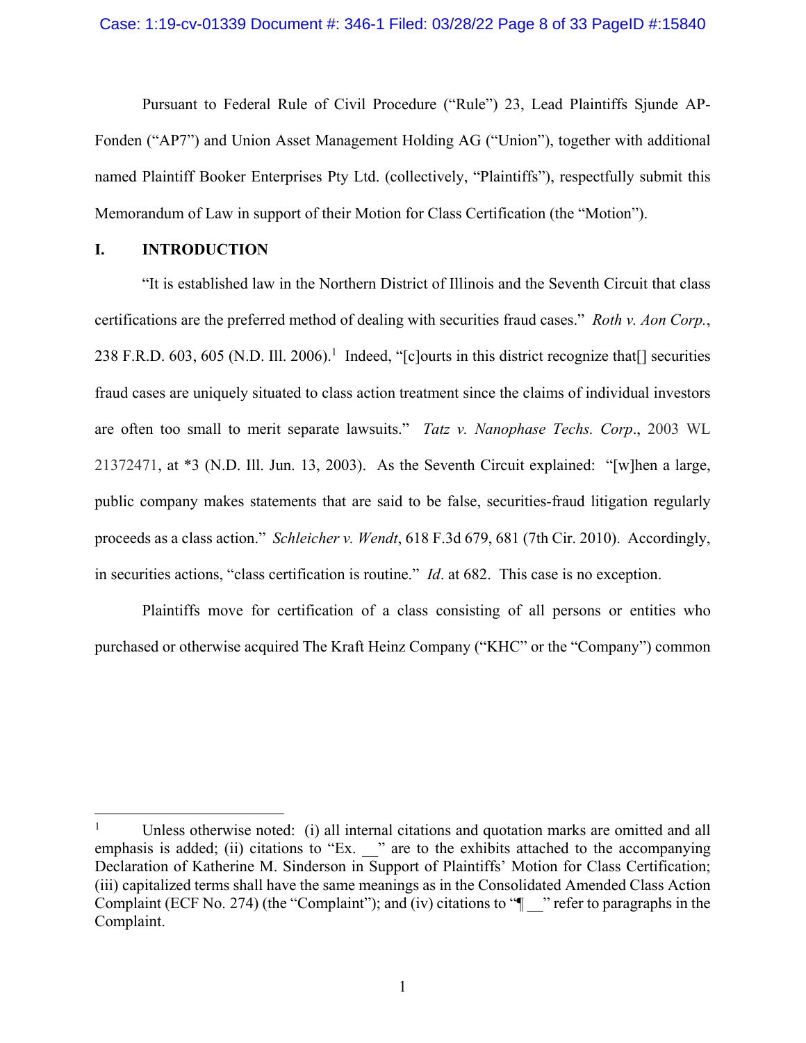Pursuant to Federal Rule of Civil Procedure ("Rule") 23, Lead Plaintiffs Sjunde AP-Fonden ("AP7") and Union Asset Management Holding AG ("Union"), together with additional named Plaintiff Booker Enterprises Pty Ltd. (collectively, "Plaintiffs"), respectfully submit this Memorandum of Law in support of their Motion for Class Certification (the "Motion").

# **I. INTRODUCTION**

 $\overline{a}$ 

"It is established law in the Northern District of Illinois and the Seventh Circuit that class certifications are the preferred method of dealing with securities fraud cases." *Roth v. Aon Corp.*, 238 F.R.D. 603, 605 (N.D. Ill. 2006).<sup>1</sup> Indeed, "[c]ourts in this district recognize that[] securities fraud cases are uniquely situated to class action treatment since the claims of individual investors are often too small to merit separate lawsuits." *Tatz v. Nanophase Techs. Corp*., 2003 WL 21372471, at \*3 (N.D. Ill. Jun. 13, 2003). As the Seventh Circuit explained: "[w]hen a large, public company makes statements that are said to be false, securities-fraud litigation regularly proceeds as a class action." *Schleicher v. Wendt*, 618 F.3d 679, 681 (7th Cir. 2010). Accordingly, in securities actions, "class certification is routine." *Id*. at 682. This case is no exception.

Plaintiffs move for certification of a class consisting of all persons or entities who purchased or otherwise acquired The Kraft Heinz Company ("KHC" or the "Company") common

<sup>1</sup> Unless otherwise noted: (i) all internal citations and quotation marks are omitted and all emphasis is added; (ii) citations to "Ex. \_\_" are to the exhibits attached to the accompanying Declaration of Katherine M. Sinderson in Support of Plaintiffs' Motion for Class Certification; (iii) capitalized terms shall have the same meanings as in the Consolidated Amended Class Action Complaint (ECF No. 274) (the "Complaint"); and (iv) citations to " $\blacksquare$ " refer to paragraphs in the Complaint.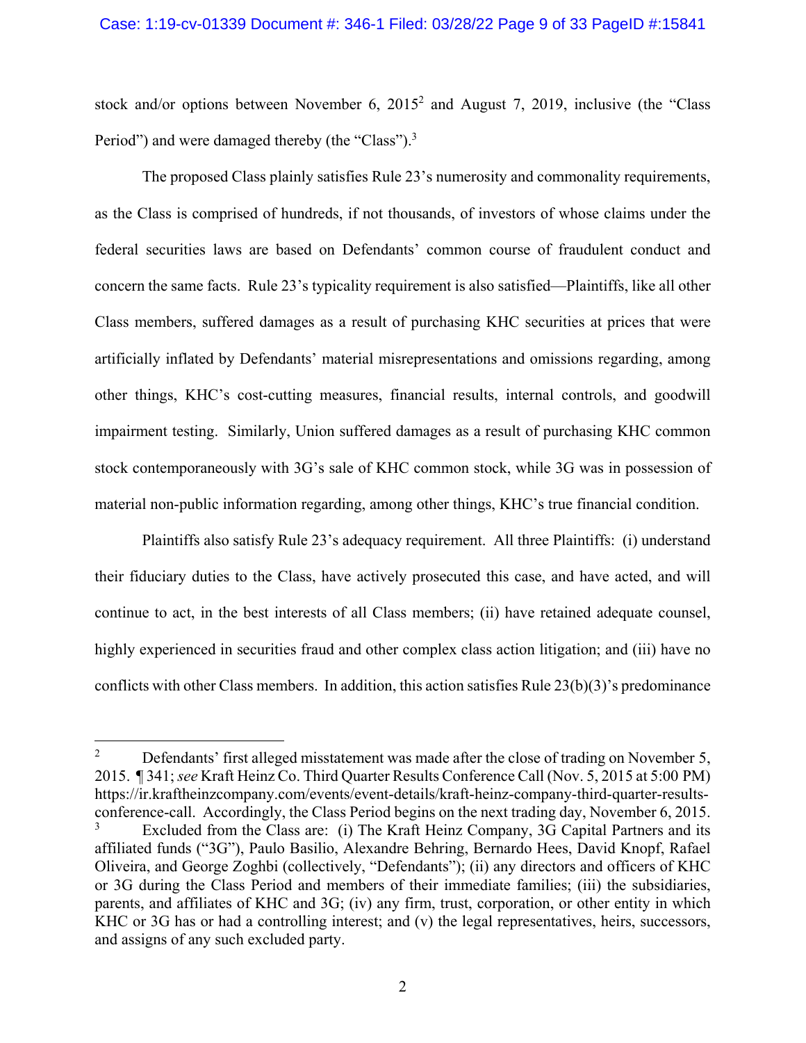#### Case: 1:19-cv-01339 Document #: 346-1 Filed: 03/28/22 Page 9 of 33 PageID #:15841

stock and/or options between November 6,  $2015^2$  and August 7, 2019, inclusive (the "Class Period") and were damaged thereby (the "Class").<sup>3</sup>

The proposed Class plainly satisfies Rule 23's numerosity and commonality requirements, as the Class is comprised of hundreds, if not thousands, of investors of whose claims under the federal securities laws are based on Defendants' common course of fraudulent conduct and concern the same facts. Rule 23's typicality requirement is also satisfied—Plaintiffs, like all other Class members, suffered damages as a result of purchasing KHC securities at prices that were artificially inflated by Defendants' material misrepresentations and omissions regarding, among other things, KHC's cost-cutting measures, financial results, internal controls, and goodwill impairment testing. Similarly, Union suffered damages as a result of purchasing KHC common stock contemporaneously with 3G's sale of KHC common stock, while 3G was in possession of material non-public information regarding, among other things, KHC's true financial condition.

Plaintiffs also satisfy Rule 23's adequacy requirement. All three Plaintiffs: (i) understand their fiduciary duties to the Class, have actively prosecuted this case, and have acted, and will continue to act, in the best interests of all Class members; (ii) have retained adequate counsel, highly experienced in securities fraud and other complex class action litigation; and (iii) have no conflicts with other Class members. In addition, this action satisfies Rule  $23(b)(3)$ 's predominance

<u>.</u>

<sup>2</sup> Defendants' first alleged misstatement was made after the close of trading on November 5, 2015. ¶ 341; *see* Kraft Heinz Co. Third Quarter Results Conference Call (Nov. 5, 2015 at 5:00 PM) https://ir.kraftheinzcompany.com/events/event-details/kraft-heinz-company-third-quarter-resultsconference-call. Accordingly, the Class Period begins on the next trading day, November 6, 2015. 3 Excluded from the Class are: (i) The Kraft Heinz Company, 3G Capital Partners and its affiliated funds ("3G"), Paulo Basilio, Alexandre Behring, Bernardo Hees, David Knopf, Rafael Oliveira, and George Zoghbi (collectively, "Defendants"); (ii) any directors and officers of KHC or 3G during the Class Period and members of their immediate families; (iii) the subsidiaries, parents, and affiliates of KHC and 3G; (iv) any firm, trust, corporation, or other entity in which KHC or 3G has or had a controlling interest; and (v) the legal representatives, heirs, successors, and assigns of any such excluded party.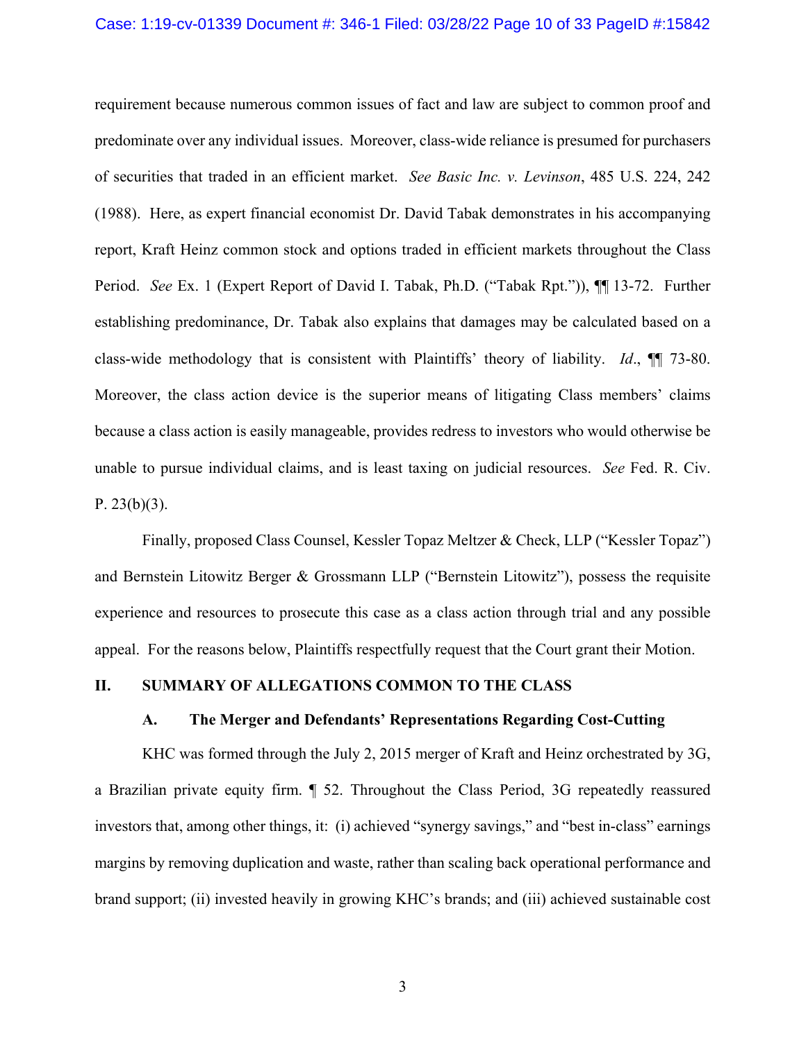#### Case: 1:19-cv-01339 Document #: 346-1 Filed: 03/28/22 Page 10 of 33 PageID #:15842

requirement because numerous common issues of fact and law are subject to common proof and predominate over any individual issues. Moreover, class-wide reliance is presumed for purchasers of securities that traded in an efficient market. *See Basic Inc. v. Levinson*, 485 U.S. 224, 242 (1988). Here, as expert financial economist Dr. David Tabak demonstrates in his accompanying report, Kraft Heinz common stock and options traded in efficient markets throughout the Class Period. *See* Ex. 1 (Expert Report of David I. Tabak, Ph.D. ("Tabak Rpt.")), ¶¶ 13-72. Further establishing predominance, Dr. Tabak also explains that damages may be calculated based on a class-wide methodology that is consistent with Plaintiffs' theory of liability. *Id*., ¶¶ 73-80. Moreover, the class action device is the superior means of litigating Class members' claims because a class action is easily manageable, provides redress to investors who would otherwise be unable to pursue individual claims, and is least taxing on judicial resources. *See* Fed. R. Civ. P. 23(b)(3).

Finally, proposed Class Counsel, Kessler Topaz Meltzer & Check, LLP ("Kessler Topaz") and Bernstein Litowitz Berger & Grossmann LLP ("Bernstein Litowitz"), possess the requisite experience and resources to prosecute this case as a class action through trial and any possible appeal. For the reasons below, Plaintiffs respectfully request that the Court grant their Motion.

#### **II. SUMMARY OF ALLEGATIONS COMMON TO THE CLASS**

#### **A. The Merger and Defendants' Representations Regarding Cost-Cutting**

KHC was formed through the July 2, 2015 merger of Kraft and Heinz orchestrated by 3G, a Brazilian private equity firm. ¶ 52. Throughout the Class Period, 3G repeatedly reassured investors that, among other things, it: (i) achieved "synergy savings," and "best in-class" earnings margins by removing duplication and waste, rather than scaling back operational performance and brand support; (ii) invested heavily in growing KHC's brands; and (iii) achieved sustainable cost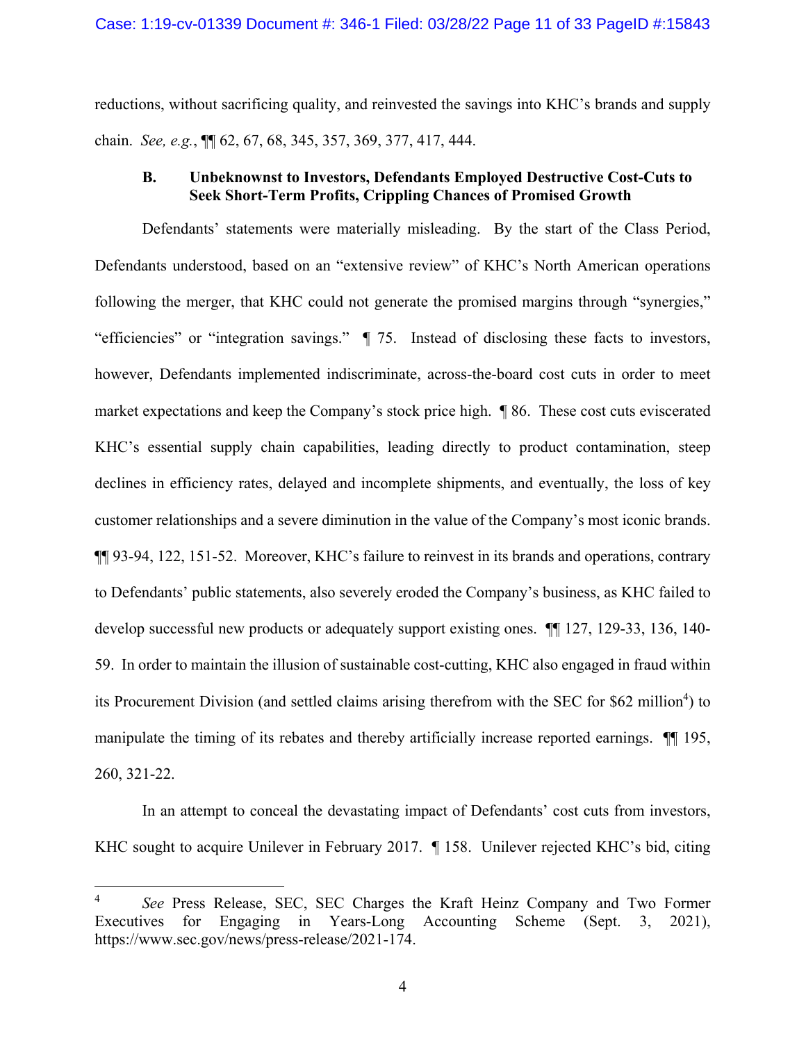reductions, without sacrificing quality, and reinvested the savings into KHC's brands and supply chain. *See, e.g.*, ¶¶ 62, 67, 68, 345, 357, 369, 377, 417, 444.

# **B. Unbeknownst to Investors, Defendants Employed Destructive Cost-Cuts to Seek Short-Term Profits, Crippling Chances of Promised Growth**

Defendants' statements were materially misleading. By the start of the Class Period, Defendants understood, based on an "extensive review" of KHC's North American operations following the merger, that KHC could not generate the promised margins through "synergies," "efficiencies" or "integration savings." ¶ 75. Instead of disclosing these facts to investors, however, Defendants implemented indiscriminate, across-the-board cost cuts in order to meet market expectations and keep the Company's stock price high. ¶ 86. These cost cuts eviscerated KHC's essential supply chain capabilities, leading directly to product contamination, steep declines in efficiency rates, delayed and incomplete shipments, and eventually, the loss of key customer relationships and a severe diminution in the value of the Company's most iconic brands. ¶¶ 93-94, 122, 151-52. Moreover, KHC's failure to reinvest in its brands and operations, contrary to Defendants' public statements, also severely eroded the Company's business, as KHC failed to develop successful new products or adequately support existing ones. ¶¶ 127, 129-33, 136, 140- 59. In order to maintain the illusion of sustainable cost-cutting, KHC also engaged in fraud within its Procurement Division (and settled claims arising therefrom with the SEC for \$62 million<sup>4</sup>) to manipulate the timing of its rebates and thereby artificially increase reported earnings. ¶¶ 195, 260, 321-22.

In an attempt to conceal the devastating impact of Defendants' cost cuts from investors, KHC sought to acquire Unilever in February 2017. ¶ 158. Unilever rejected KHC's bid, citing

1

<sup>4</sup> *See* Press Release, SEC, SEC Charges the Kraft Heinz Company and Two Former Executives for Engaging in Years-Long Accounting Scheme (Sept. 3, 2021), https://www.sec.gov/news/press-release/2021-174.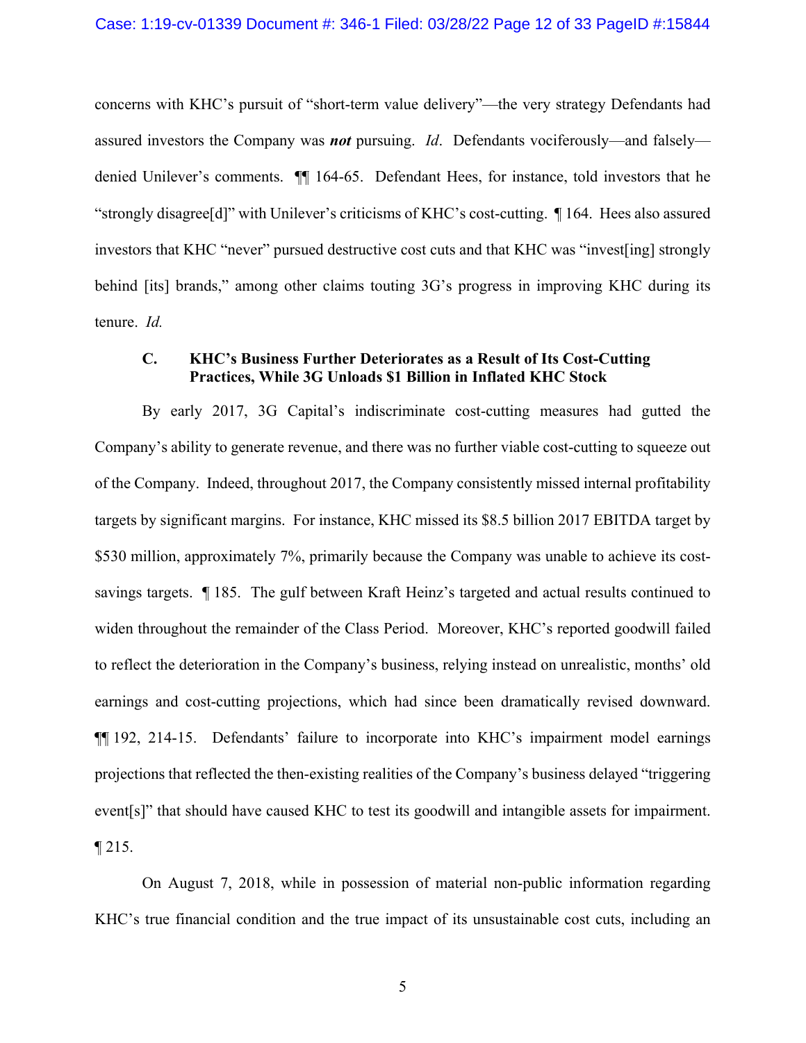concerns with KHC's pursuit of "short-term value delivery"—the very strategy Defendants had assured investors the Company was *not* pursuing. *Id*. Defendants vociferously—and falsely denied Unilever's comments. ¶¶ 164-65. Defendant Hees, for instance, told investors that he "strongly disagree[d]" with Unilever's criticisms of KHC's cost-cutting. ¶ 164. Hees also assured investors that KHC "never" pursued destructive cost cuts and that KHC was "invest[ing] strongly behind [its] brands," among other claims touting 3G's progress in improving KHC during its tenure. *Id.*

# **C. KHC's Business Further Deteriorates as a Result of Its Cost-Cutting Practices, While 3G Unloads \$1 Billion in Inflated KHC Stock**

By early 2017, 3G Capital's indiscriminate cost-cutting measures had gutted the Company's ability to generate revenue, and there was no further viable cost-cutting to squeeze out of the Company. Indeed, throughout 2017, the Company consistently missed internal profitability targets by significant margins. For instance, KHC missed its \$8.5 billion 2017 EBITDA target by \$530 million, approximately 7%, primarily because the Company was unable to achieve its costsavings targets. ¶ 185. The gulf between Kraft Heinz's targeted and actual results continued to widen throughout the remainder of the Class Period. Moreover, KHC's reported goodwill failed to reflect the deterioration in the Company's business, relying instead on unrealistic, months' old earnings and cost-cutting projections, which had since been dramatically revised downward. ¶¶ 192, 214-15. Defendants' failure to incorporate into KHC's impairment model earnings projections that reflected the then-existing realities of the Company's business delayed "triggering event[s]" that should have caused KHC to test its goodwill and intangible assets for impairment.  $\P$  215.

On August 7, 2018, while in possession of material non-public information regarding KHC's true financial condition and the true impact of its unsustainable cost cuts, including an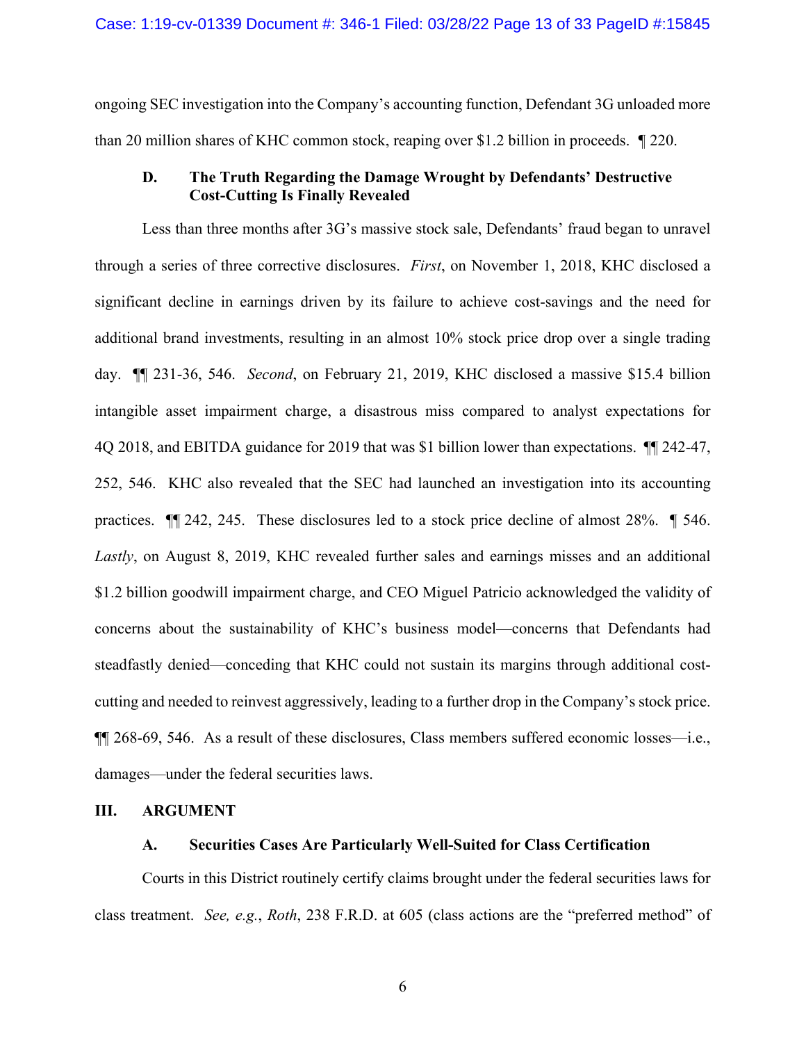ongoing SEC investigation into the Company's accounting function, Defendant 3G unloaded more than 20 million shares of KHC common stock, reaping over \$1.2 billion in proceeds. *¶* 220.

# **D. The Truth Regarding the Damage Wrought by Defendants' Destructive Cost-Cutting Is Finally Revealed**

Less than three months after 3G's massive stock sale, Defendants' fraud began to unravel through a series of three corrective disclosures. *First*, on November 1, 2018, KHC disclosed a significant decline in earnings driven by its failure to achieve cost-savings and the need for additional brand investments, resulting in an almost 10% stock price drop over a single trading day. ¶¶ 231-36, 546. *Second*, on February 21, 2019, KHC disclosed a massive \$15.4 billion intangible asset impairment charge, a disastrous miss compared to analyst expectations for 4Q 2018, and EBITDA guidance for 2019 that was \$1 billion lower than expectations. ¶¶ 242-47, 252, 546. KHC also revealed that the SEC had launched an investigation into its accounting practices. ¶¶ 242, 245. These disclosures led to a stock price decline of almost 28%. ¶ 546. *Lastly*, on August 8, 2019, KHC revealed further sales and earnings misses and an additional \$1.2 billion goodwill impairment charge, and CEO Miguel Patricio acknowledged the validity of concerns about the sustainability of KHC's business model—concerns that Defendants had steadfastly denied—conceding that KHC could not sustain its margins through additional costcutting and needed to reinvest aggressively, leading to a further drop in the Company's stock price. ¶¶ 268-69, 546. As a result of these disclosures, Class members suffered economic losses—i.e., damages—under the federal securities laws.

#### **III. ARGUMENT**

### **A. Securities Cases Are Particularly Well-Suited for Class Certification**

Courts in this District routinely certify claims brought under the federal securities laws for class treatment. *See, e.g.*, *Roth*, 238 F.R.D. at 605 (class actions are the "preferred method" of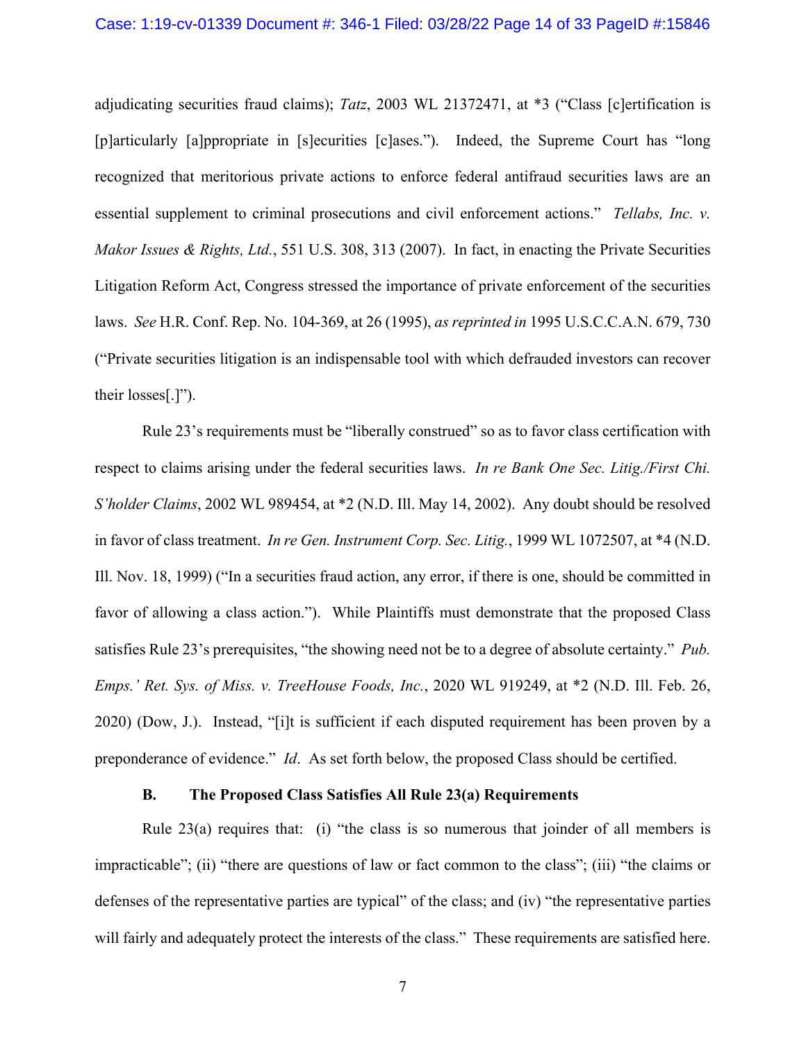adjudicating securities fraud claims); *Tatz*, 2003 WL 21372471, at \*3 ("Class [c]ertification is [p]articularly [a]ppropriate in [s]ecurities [c]ases."). Indeed, the Supreme Court has "long recognized that meritorious private actions to enforce federal antifraud securities laws are an essential supplement to criminal prosecutions and civil enforcement actions." *Tellabs, Inc. v. Makor Issues & Rights, Ltd.*, 551 U.S. 308, 313 (2007). In fact, in enacting the Private Securities Litigation Reform Act, Congress stressed the importance of private enforcement of the securities laws. *See* H.R. Conf. Rep. No. 104-369, at 26 (1995), *as reprinted in* 1995 U.S.C.C.A.N. 679, 730 ("Private securities litigation is an indispensable tool with which defrauded investors can recover their losses[.]").

Rule 23's requirements must be "liberally construed" so as to favor class certification with respect to claims arising under the federal securities laws. *In re Bank One Sec. Litig./First Chi. S'holder Claims*, 2002 WL 989454, at \*2 (N.D. Ill. May 14, 2002). Any doubt should be resolved in favor of class treatment. *In re Gen. Instrument Corp. Sec. Litig.*, 1999 WL 1072507, at \*4 (N.D. Ill. Nov. 18, 1999) ("In a securities fraud action, any error, if there is one, should be committed in favor of allowing a class action."). While Plaintiffs must demonstrate that the proposed Class satisfies Rule 23's prerequisites, "the showing need not be to a degree of absolute certainty." *Pub. Emps.' Ret. Sys. of Miss. v. TreeHouse Foods, Inc.*, 2020 WL 919249, at \*2 (N.D. Ill. Feb. 26, 2020) (Dow, J.). Instead, "[i]t is sufficient if each disputed requirement has been proven by a preponderance of evidence." *Id*. As set forth below, the proposed Class should be certified.

#### **B. The Proposed Class Satisfies All Rule 23(a) Requirements**

Rule 23(a) requires that: (i) "the class is so numerous that joinder of all members is impracticable"; (ii) "there are questions of law or fact common to the class"; (iii) "the claims or defenses of the representative parties are typical" of the class; and (iv) "the representative parties will fairly and adequately protect the interests of the class." These requirements are satisfied here.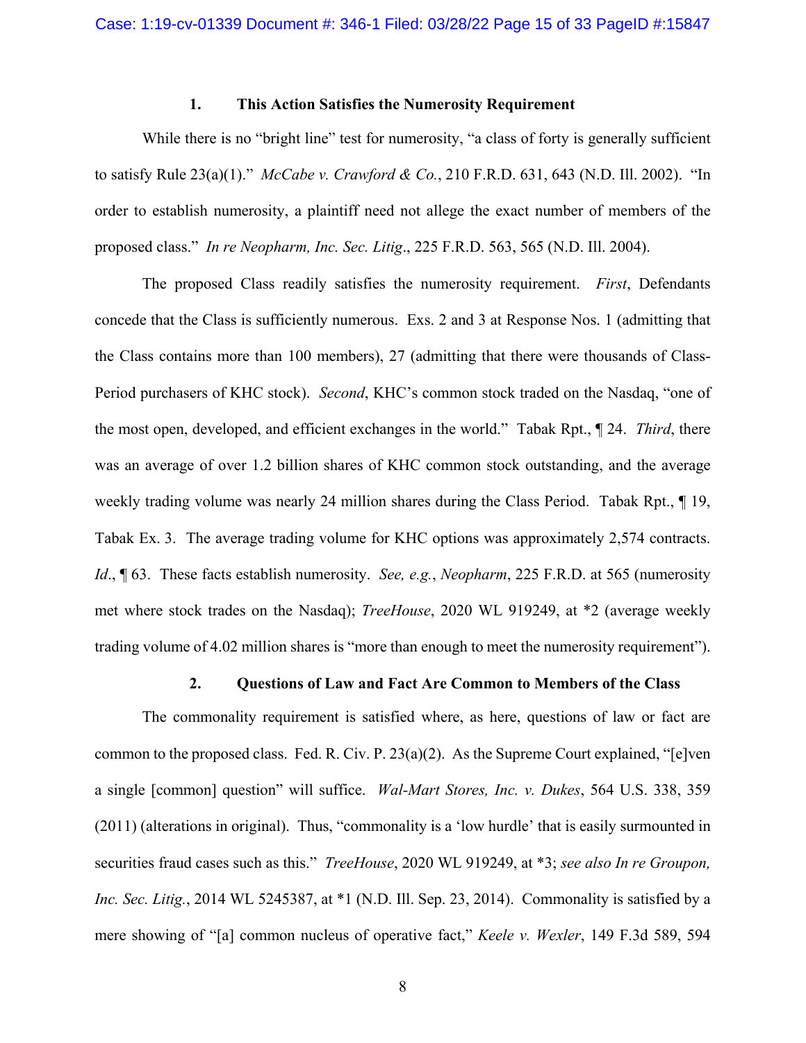# **1. This Action Satisfies the Numerosity Requirement**

While there is no "bright line" test for numerosity, "a class of forty is generally sufficient to satisfy Rule 23(a)(1)." *McCabe v. Crawford & Co.*, 210 F.R.D. 631, 643 (N.D. Ill. 2002). "In order to establish numerosity, a plaintiff need not allege the exact number of members of the proposed class." *In re Neopharm, Inc. Sec. Litig*., 225 F.R.D. 563, 565 (N.D. Ill. 2004).

The proposed Class readily satisfies the numerosity requirement. *First*, Defendants concede that the Class is sufficiently numerous. Exs. 2 and 3 at Response Nos. 1 (admitting that the Class contains more than 100 members), 27 (admitting that there were thousands of Class-Period purchasers of KHC stock). *Second*, KHC's common stock traded on the Nasdaq, "one of the most open, developed, and efficient exchanges in the world." Tabak Rpt., ¶ 24. *Third*, there was an average of over 1.2 billion shares of KHC common stock outstanding, and the average weekly trading volume was nearly 24 million shares during the Class Period. Tabak Rpt., 19, Tabak Ex. 3. The average trading volume for KHC options was approximately 2,574 contracts. *Id*., ¶ 63. These facts establish numerosity. *See, e.g.*, *Neopharm*, 225 F.R.D. at 565 (numerosity met where stock trades on the Nasdaq); *TreeHouse*, 2020 WL 919249, at \*2 (average weekly trading volume of 4.02 million shares is "more than enough to meet the numerosity requirement").

# **2. Questions of Law and Fact Are Common to Members of the Class**

The commonality requirement is satisfied where, as here, questions of law or fact are common to the proposed class. Fed. R. Civ. P. 23(a)(2). As the Supreme Court explained, "[e]ven a single [common] question" will suffice. *Wal-Mart Stores, Inc. v. Dukes*, 564 U.S. 338, 359 (2011) (alterations in original). Thus, "commonality is a 'low hurdle' that is easily surmounted in securities fraud cases such as this." *TreeHouse*, 2020 WL 919249, at \*3; *see also In re Groupon, Inc. Sec. Litig.*, 2014 WL 5245387, at \*1 (N.D. Ill. Sep. 23, 2014). Commonality is satisfied by a mere showing of "[a] common nucleus of operative fact," *Keele v. Wexler*, 149 F.3d 589, 594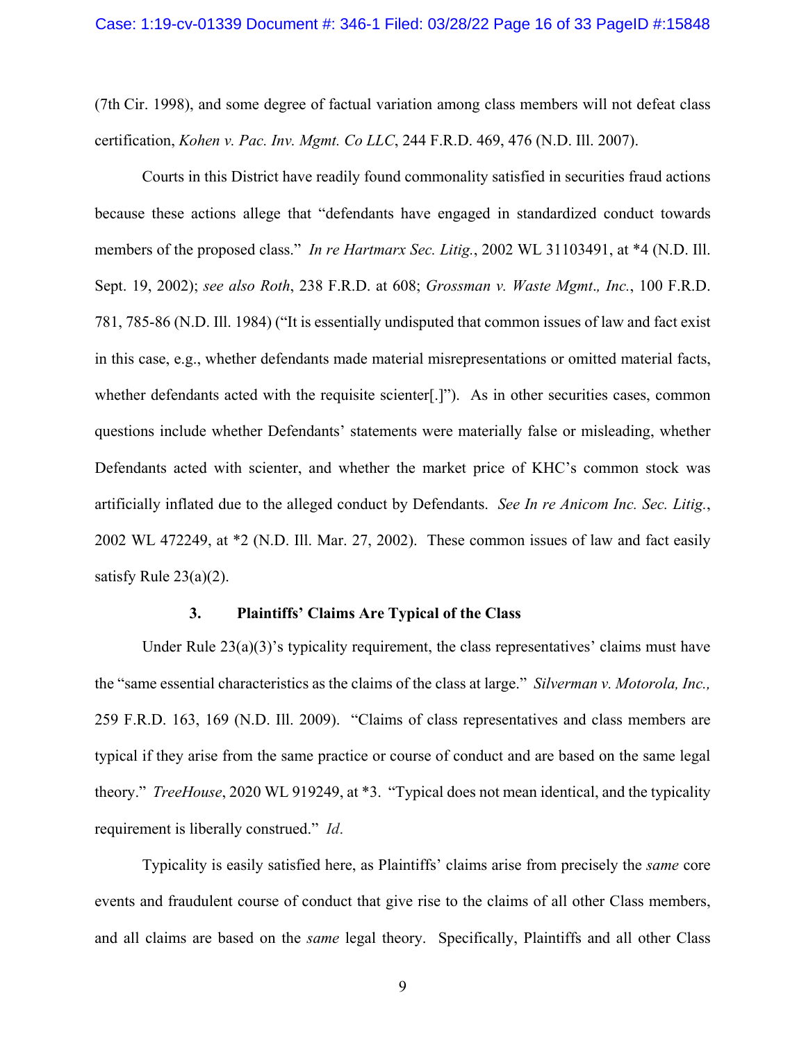(7th Cir. 1998), and some degree of factual variation among class members will not defeat class certification, *Kohen v. Pac. Inv. Mgmt. Co LLC*, 244 F.R.D. 469, 476 (N.D. Ill. 2007).

Courts in this District have readily found commonality satisfied in securities fraud actions because these actions allege that "defendants have engaged in standardized conduct towards members of the proposed class." *In re Hartmarx Sec. Litig.*, 2002 WL 31103491, at \*4 (N.D. Ill. Sept. 19, 2002); *see also Roth*, 238 F.R.D. at 608; *Grossman v. Waste Mgmt*.*, Inc.*, 100 F.R.D. 781, 785-86 (N.D. Ill. 1984) ("It is essentially undisputed that common issues of law and fact exist in this case, e.g., whether defendants made material misrepresentations or omitted material facts, whether defendants acted with the requisite scienter[.]"). As in other securities cases, common questions include whether Defendants' statements were materially false or misleading, whether Defendants acted with scienter, and whether the market price of KHC's common stock was artificially inflated due to the alleged conduct by Defendants. *See In re Anicom Inc. Sec. Litig.*, 2002 WL 472249, at \*2 (N.D. Ill. Mar. 27, 2002). These common issues of law and fact easily satisfy Rule 23(a)(2).

#### **3. Plaintiffs' Claims Are Typical of the Class**

Under Rule  $23(a)(3)$ 's typicality requirement, the class representatives' claims must have the "same essential characteristics as the claims of the class at large." *Silverman v. Motorola, Inc.,*  259 F.R.D. 163, 169 (N.D. Ill. 2009). "Claims of class representatives and class members are typical if they arise from the same practice or course of conduct and are based on the same legal theory." *TreeHouse*, 2020 WL 919249, at \*3. "Typical does not mean identical, and the typicality requirement is liberally construed." *Id*.

Typicality is easily satisfied here, as Plaintiffs' claims arise from precisely the *same* core events and fraudulent course of conduct that give rise to the claims of all other Class members, and all claims are based on the *same* legal theory. Specifically, Plaintiffs and all other Class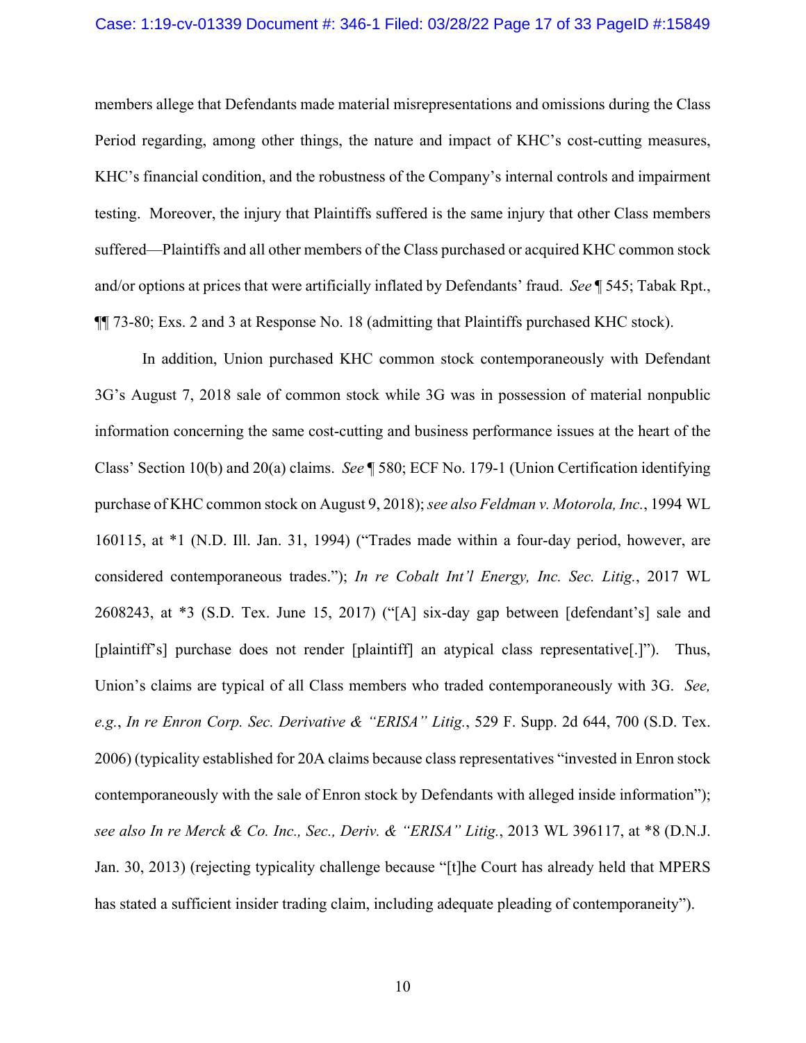#### Case: 1:19-cv-01339 Document #: 346-1 Filed: 03/28/22 Page 17 of 33 PageID #:15849

members allege that Defendants made material misrepresentations and omissions during the Class Period regarding, among other things, the nature and impact of KHC's cost-cutting measures, KHC's financial condition, and the robustness of the Company's internal controls and impairment testing. Moreover, the injury that Plaintiffs suffered is the same injury that other Class members suffered—Plaintiffs and all other members of the Class purchased or acquired KHC common stock and/or options at prices that were artificially inflated by Defendants' fraud. *See* ¶ 545; Tabak Rpt., ¶¶ 73-80; Exs. 2 and 3 at Response No. 18 (admitting that Plaintiffs purchased KHC stock).

In addition, Union purchased KHC common stock contemporaneously with Defendant 3G's August 7, 2018 sale of common stock while 3G was in possession of material nonpublic information concerning the same cost-cutting and business performance issues at the heart of the Class' Section 10(b) and 20(a) claims. *See* ¶ 580; ECF No. 179-1 (Union Certification identifying purchase of KHC common stock on August 9, 2018); *see also Feldman v. Motorola, Inc.*, 1994 WL 160115, at \*1 (N.D. Ill. Jan. 31, 1994) ("Trades made within a four-day period, however, are considered contemporaneous trades."); *In re Cobalt Int'l Energy, Inc. Sec. Litig.*, 2017 WL 2608243, at \*3 (S.D. Tex. June 15, 2017) ("[A] six-day gap between [defendant's] sale and [plaintiff's] purchase does not render [plaintiff] an atypical class representative[.]"). Thus, Union's claims are typical of all Class members who traded contemporaneously with 3G. *See, e.g.*, *In re Enron Corp. Sec. Derivative & "ERISA" Litig.*, 529 F. Supp. 2d 644, 700 (S.D. Tex. 2006) (typicality established for 20A claims because class representatives "invested in Enron stock contemporaneously with the sale of Enron stock by Defendants with alleged inside information"); *see also In re Merck & Co. Inc., Sec., Deriv. & "ERISA" Litig.*, 2013 WL 396117, at \*8 (D.N.J. Jan. 30, 2013) (rejecting typicality challenge because "[t]he Court has already held that MPERS has stated a sufficient insider trading claim, including adequate pleading of contemporaneity").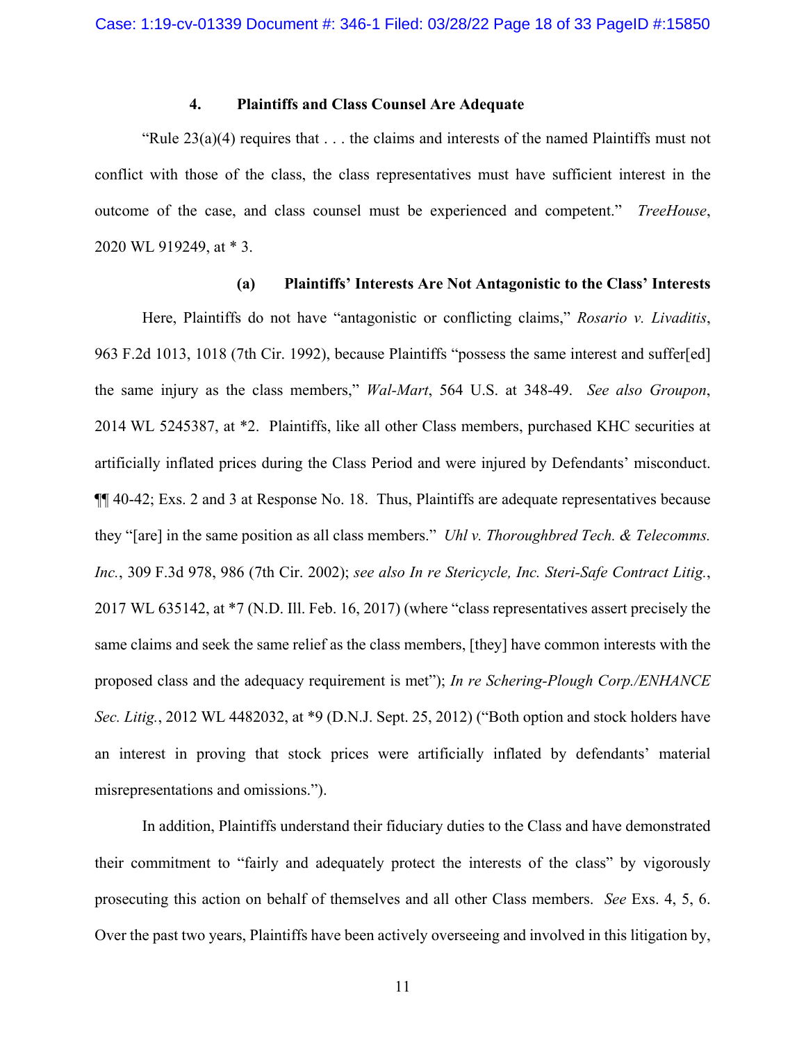#### **4. Plaintiffs and Class Counsel Are Adequate**

"Rule  $23(a)(4)$  requires that ... the claims and interests of the named Plaintiffs must not conflict with those of the class, the class representatives must have sufficient interest in the outcome of the case, and class counsel must be experienced and competent." *TreeHouse*, 2020 WL 919249, at \* 3.

#### **(a) Plaintiffs' Interests Are Not Antagonistic to the Class' Interests**

Here, Plaintiffs do not have "antagonistic or conflicting claims," *Rosario v. Livaditis*, 963 F.2d 1013, 1018 (7th Cir. 1992), because Plaintiffs "possess the same interest and suffer[ed] the same injury as the class members," *Wal-Mart*, 564 U.S. at 348-49. *See also Groupon*, 2014 WL 5245387, at \*2. Plaintiffs, like all other Class members, purchased KHC securities at artificially inflated prices during the Class Period and were injured by Defendants' misconduct. ¶¶ 40-42; Exs. 2 and 3 at Response No. 18. Thus, Plaintiffs are adequate representatives because they "[are] in the same position as all class members." *Uhl v. Thoroughbred Tech. & Telecomms. Inc.*, 309 F.3d 978, 986 (7th Cir. 2002); *see also In re Stericycle, Inc. Steri-Safe Contract Litig.*, 2017 WL 635142, at \*7 (N.D. Ill. Feb. 16, 2017) (where "class representatives assert precisely the same claims and seek the same relief as the class members, [they] have common interests with the proposed class and the adequacy requirement is met"); *In re Schering-Plough Corp./ENHANCE Sec. Litig.*, 2012 WL 4482032, at \*9 (D.N.J. Sept. 25, 2012) ("Both option and stock holders have an interest in proving that stock prices were artificially inflated by defendants' material misrepresentations and omissions.").

In addition, Plaintiffs understand their fiduciary duties to the Class and have demonstrated their commitment to "fairly and adequately protect the interests of the class" by vigorously prosecuting this action on behalf of themselves and all other Class members. *See* Exs. 4, 5, 6. Over the past two years, Plaintiffs have been actively overseeing and involved in this litigation by,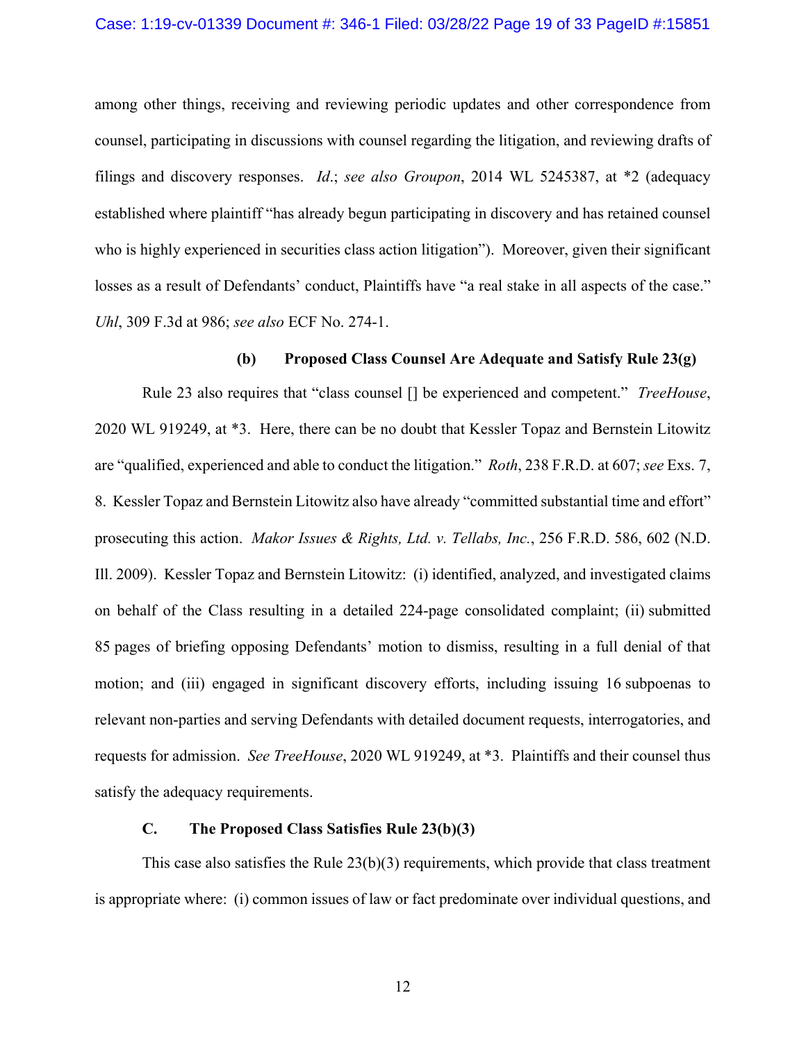among other things, receiving and reviewing periodic updates and other correspondence from counsel, participating in discussions with counsel regarding the litigation, and reviewing drafts of filings and discovery responses. *Id*.; *see also Groupon*, 2014 WL 5245387, at \*2 (adequacy established where plaintiff "has already begun participating in discovery and has retained counsel who is highly experienced in securities class action litigation"). Moreover, given their significant losses as a result of Defendants' conduct, Plaintiffs have "a real stake in all aspects of the case." *Uhl*, 309 F.3d at 986; *see also* ECF No. 274-1.

# **(b) Proposed Class Counsel Are Adequate and Satisfy Rule 23(g)**

Rule 23 also requires that "class counsel [] be experienced and competent." *TreeHouse*, 2020 WL 919249, at \*3. Here, there can be no doubt that Kessler Topaz and Bernstein Litowitz are "qualified, experienced and able to conduct the litigation." *Roth*, 238 F.R.D. at 607; *see* Exs. 7, 8. Kessler Topaz and Bernstein Litowitz also have already "committed substantial time and effort" prosecuting this action. *Makor Issues & Rights, Ltd. v. Tellabs, Inc.*, 256 F.R.D. 586, 602 (N.D. Ill. 2009). Kessler Topaz and Bernstein Litowitz: (i) identified, analyzed, and investigated claims on behalf of the Class resulting in a detailed 224-page consolidated complaint; (ii) submitted 85 pages of briefing opposing Defendants' motion to dismiss, resulting in a full denial of that motion; and (iii) engaged in significant discovery efforts, including issuing 16 subpoenas to relevant non-parties and serving Defendants with detailed document requests, interrogatories, and requests for admission. *See TreeHouse*, 2020 WL 919249, at \*3. Plaintiffs and their counsel thus satisfy the adequacy requirements.

# **C. The Proposed Class Satisfies Rule 23(b)(3)**

This case also satisfies the Rule  $23(b)(3)$  requirements, which provide that class treatment is appropriate where: (i) common issues of law or fact predominate over individual questions, and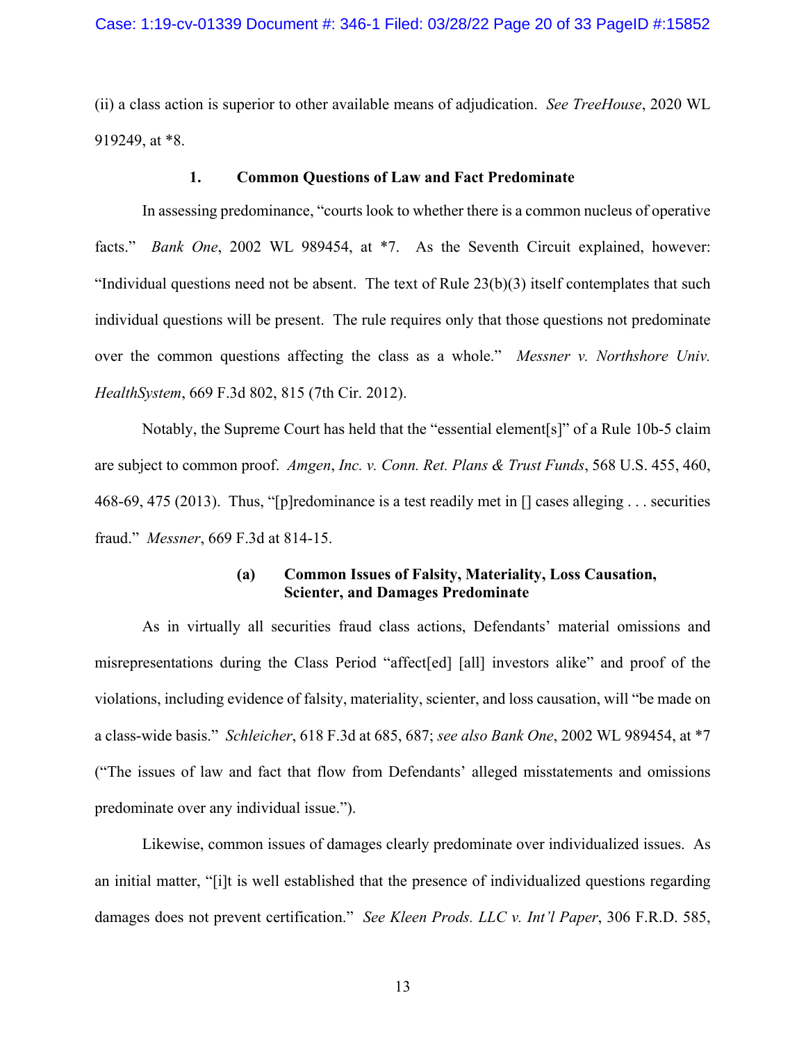(ii) a class action is superior to other available means of adjudication. *See TreeHouse*, 2020 WL 919249, at \*8.

#### **1. Common Questions of Law and Fact Predominate**

In assessing predominance, "courts look to whether there is a common nucleus of operative facts." *Bank One*, 2002 WL 989454, at \*7. As the Seventh Circuit explained, however: "Individual questions need not be absent. The text of Rule  $23(b)(3)$  itself contemplates that such individual questions will be present. The rule requires only that those questions not predominate over the common questions affecting the class as a whole." *Messner v. Northshore Univ. HealthSystem*, 669 F.3d 802, 815 (7th Cir. 2012).

Notably, the Supreme Court has held that the "essential element[s]" of a Rule 10b-5 claim are subject to common proof. *Amgen*, *Inc. v. Conn. Ret. Plans & Trust Funds*, 568 U.S. 455, 460, 468-69, 475 (2013). Thus, "[p]redominance is a test readily met in [] cases alleging . . . securities fraud." *Messner*, 669 F.3d at 814-15.

#### **(a) Common Issues of Falsity, Materiality, Loss Causation, Scienter, and Damages Predominate**

As in virtually all securities fraud class actions, Defendants' material omissions and misrepresentations during the Class Period "affect[ed] [all] investors alike" and proof of the violations, including evidence of falsity, materiality, scienter, and loss causation, will "be made on a class-wide basis." *Schleicher*, 618 F.3d at 685, 687; *see also Bank One*, 2002 WL 989454, at \*7 ("The issues of law and fact that flow from Defendants' alleged misstatements and omissions predominate over any individual issue.").

Likewise, common issues of damages clearly predominate over individualized issues. As an initial matter, "[i]t is well established that the presence of individualized questions regarding damages does not prevent certification." *See Kleen Prods. LLC v. Int'l Paper*, 306 F.R.D. 585,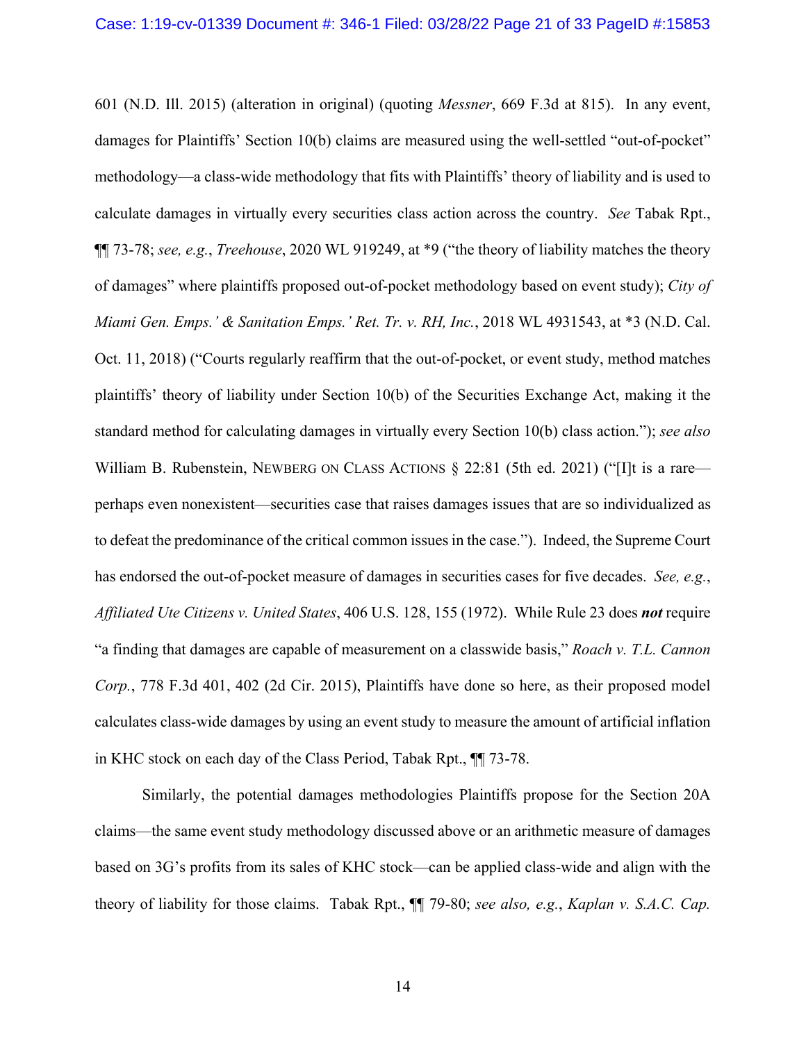601 (N.D. Ill. 2015) (alteration in original) (quoting *Messner*, 669 F.3d at 815). In any event, damages for Plaintiffs' Section 10(b) claims are measured using the well-settled "out-of-pocket" methodology—a class-wide methodology that fits with Plaintiffs' theory of liability and is used to calculate damages in virtually every securities class action across the country. *See* Tabak Rpt., ¶¶ 73-78; *see, e.g.*, *Treehouse*, 2020 WL 919249, at \*9 ("the theory of liability matches the theory of damages" where plaintiffs proposed out-of-pocket methodology based on event study); *City of Miami Gen. Emps.' & Sanitation Emps.' Ret. Tr. v. RH, Inc.*, 2018 WL 4931543, at \*3 (N.D. Cal. Oct. 11, 2018) ("Courts regularly reaffirm that the out-of-pocket, or event study, method matches plaintiffs' theory of liability under Section 10(b) of the Securities Exchange Act, making it the standard method for calculating damages in virtually every Section 10(b) class action."); *see also*  William B. Rubenstein, NEWBERG ON CLASS ACTIONS § 22:81 (5th ed. 2021) ("[I]t is a rare perhaps even nonexistent—securities case that raises damages issues that are so individualized as to defeat the predominance of the critical common issues in the case."). Indeed, the Supreme Court has endorsed the out-of-pocket measure of damages in securities cases for five decades. *See, e.g.*, *Affiliated Ute Citizens v. United States*, 406 U.S. 128, 155 (1972). While Rule 23 does *not* require "a finding that damages are capable of measurement on a classwide basis," *Roach v. T.L. Cannon Corp.*, 778 F.3d 401, 402 (2d Cir. 2015), Plaintiffs have done so here, as their proposed model calculates class-wide damages by using an event study to measure the amount of artificial inflation in KHC stock on each day of the Class Period, Tabak Rpt., ¶¶ 73-78.

Similarly, the potential damages methodologies Plaintiffs propose for the Section 20A claims—the same event study methodology discussed above or an arithmetic measure of damages based on 3G's profits from its sales of KHC stock—can be applied class-wide and align with the theory of liability for those claims. Tabak Rpt., ¶¶ 79-80; *see also, e.g.*, *Kaplan v. S.A.C. Cap.*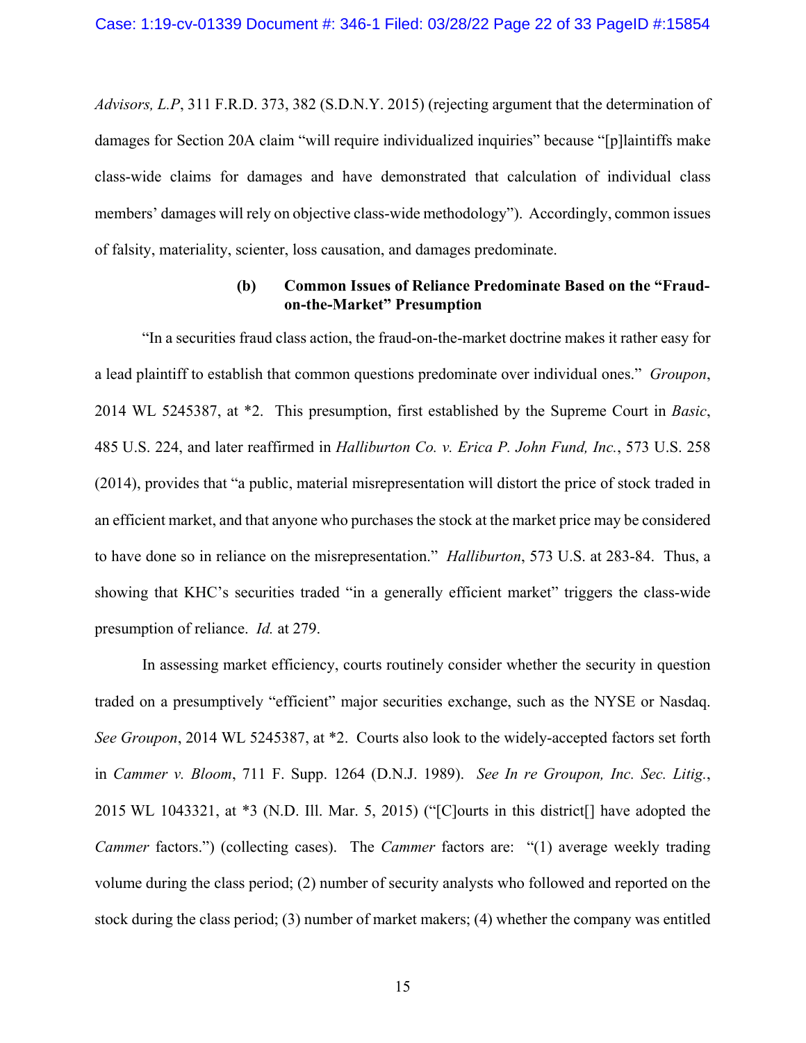*Advisors, L.P*, 311 F.R.D. 373, 382 (S.D.N.Y. 2015) (rejecting argument that the determination of damages for Section 20A claim "will require individualized inquiries" because "[p]laintiffs make class-wide claims for damages and have demonstrated that calculation of individual class members' damages will rely on objective class-wide methodology"). Accordingly, common issues of falsity, materiality, scienter, loss causation, and damages predominate.

# **(b) Common Issues of Reliance Predominate Based on the "Fraudon-the-Market" Presumption**

"In a securities fraud class action, the fraud-on-the-market doctrine makes it rather easy for a lead plaintiff to establish that common questions predominate over individual ones." *Groupon*, 2014 WL 5245387, at \*2. This presumption, first established by the Supreme Court in *Basic*, 485 U.S. 224, and later reaffirmed in *Halliburton Co. v. Erica P. John Fund, Inc.*, 573 U.S. 258 (2014), provides that "a public, material misrepresentation will distort the price of stock traded in an efficient market, and that anyone who purchases the stock at the market price may be considered to have done so in reliance on the misrepresentation." *Halliburton*, 573 U.S. at 283-84. Thus, a showing that KHC's securities traded "in a generally efficient market" triggers the class-wide presumption of reliance. *Id.* at 279.

In assessing market efficiency, courts routinely consider whether the security in question traded on a presumptively "efficient" major securities exchange, such as the NYSE or Nasdaq. *See Groupon*, 2014 WL 5245387, at \*2. Courts also look to the widely-accepted factors set forth in *Cammer v. Bloom*, 711 F. Supp. 1264 (D.N.J. 1989). *See In re Groupon, Inc. Sec. Litig.*, 2015 WL 1043321, at \*3 (N.D. Ill. Mar. 5, 2015) ("[C]ourts in this district[] have adopted the *Cammer* factors.") (collecting cases). The *Cammer* factors are: "(1) average weekly trading volume during the class period; (2) number of security analysts who followed and reported on the stock during the class period; (3) number of market makers; (4) whether the company was entitled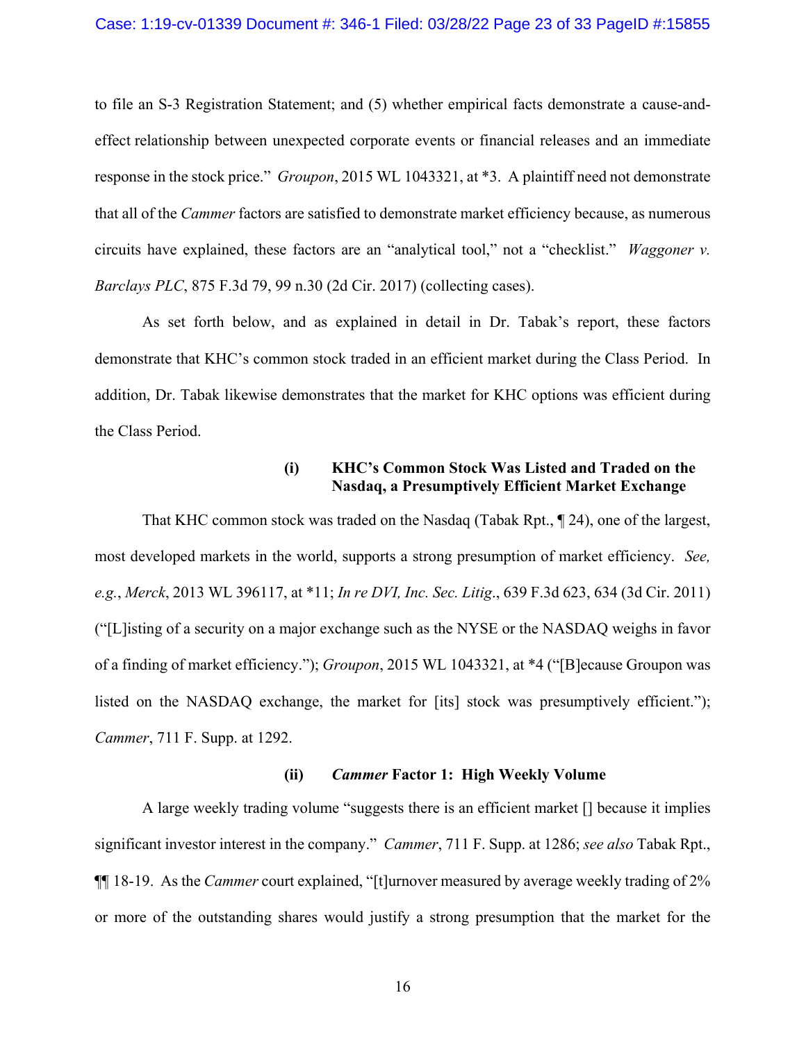to file an S-3 Registration Statement; and (5) whether empirical facts demonstrate a cause-andeffect relationship between unexpected corporate events or financial releases and an immediate response in the stock price." *Groupon*, 2015 WL 1043321, at \*3. A plaintiff need not demonstrate that all of the *Cammer* factors are satisfied to demonstrate market efficiency because, as numerous circuits have explained, these factors are an "analytical tool," not a "checklist." *Waggoner v. Barclays PLC*, 875 F.3d 79, 99 n.30 (2d Cir. 2017) (collecting cases).

As set forth below, and as explained in detail in Dr. Tabak's report, these factors demonstrate that KHC's common stock traded in an efficient market during the Class Period. In addition, Dr. Tabak likewise demonstrates that the market for KHC options was efficient during the Class Period.

# **(i) KHC's Common Stock Was Listed and Traded on the Nasdaq, a Presumptively Efficient Market Exchange**

That KHC common stock was traded on the Nasdaq (Tabak Rpt., ¶ 24), one of the largest, most developed markets in the world, supports a strong presumption of market efficiency. *See, e.g.*, *Merck*, 2013 WL 396117, at \*11; *In re DVI, Inc. Sec. Litig*., 639 F.3d 623, 634 (3d Cir. 2011) ("[L]isting of a security on a major exchange such as the NYSE or the NASDAQ weighs in favor of a finding of market efficiency."); *Groupon*, 2015 WL 1043321, at \*4 ("[B]ecause Groupon was listed on the NASDAQ exchange, the market for [its] stock was presumptively efficient."); *Cammer*, 711 F. Supp. at 1292.

### **(ii)** *Cammer* **Factor 1: High Weekly Volume**

A large weekly trading volume "suggests there is an efficient market [] because it implies significant investor interest in the company." *Cammer*, 711 F. Supp. at 1286; *see also* Tabak Rpt., ¶¶ 18-19. As the *Cammer* court explained, "[t]urnover measured by average weekly trading of 2% or more of the outstanding shares would justify a strong presumption that the market for the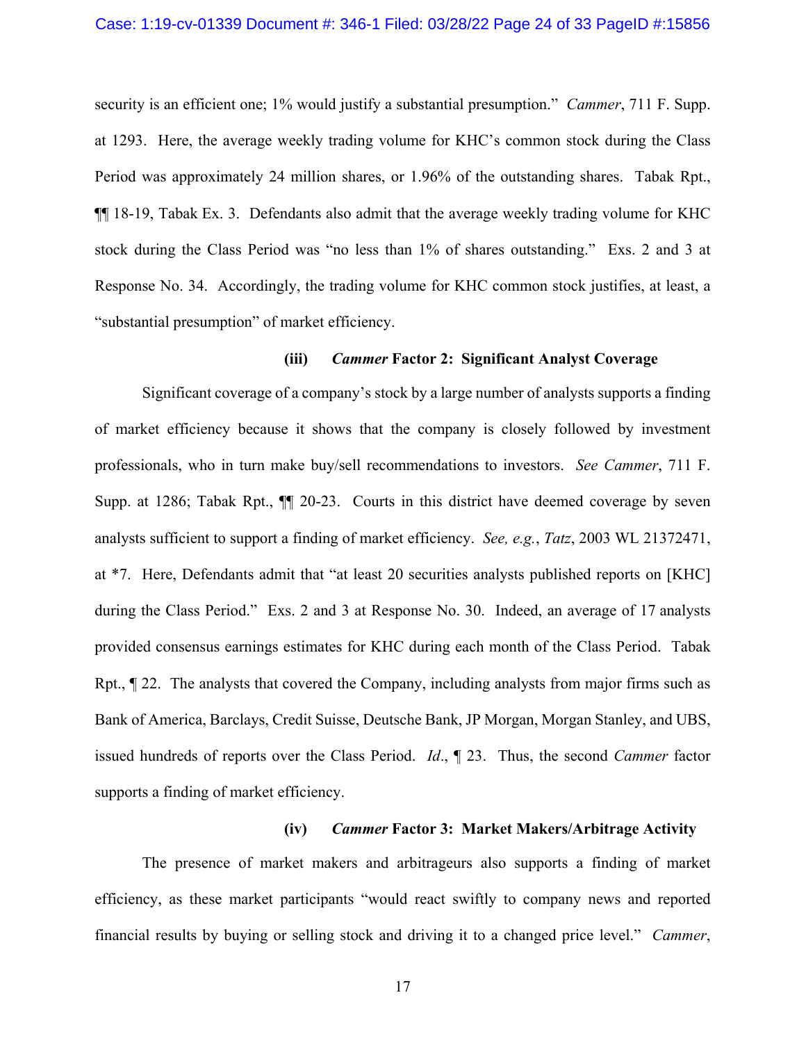#### Case: 1:19-cv-01339 Document #: 346-1 Filed: 03/28/22 Page 24 of 33 PageID #:15856

security is an efficient one; 1% would justify a substantial presumption." *Cammer*, 711 F. Supp. at 1293. Here, the average weekly trading volume for KHC's common stock during the Class Period was approximately 24 million shares, or 1.96% of the outstanding shares. Tabak Rpt., ¶¶ 18-19, Tabak Ex. 3. Defendants also admit that the average weekly trading volume for KHC stock during the Class Period was "no less than 1% of shares outstanding." Exs. 2 and 3 at Response No. 34. Accordingly, the trading volume for KHC common stock justifies, at least, a "substantial presumption" of market efficiency.

#### **(iii)** *Cammer* **Factor 2: Significant Analyst Coverage**

Significant coverage of a company's stock by a large number of analysts supports a finding of market efficiency because it shows that the company is closely followed by investment professionals, who in turn make buy/sell recommendations to investors. *See Cammer*, 711 F. Supp. at 1286; Tabak Rpt., ¶¶ 20-23. Courts in this district have deemed coverage by seven analysts sufficient to support a finding of market efficiency. *See, e.g.*, *Tatz*, 2003 WL 21372471, at \*7. Here, Defendants admit that "at least 20 securities analysts published reports on [KHC] during the Class Period." Exs. 2 and 3 at Response No. 30. Indeed, an average of 17 analysts provided consensus earnings estimates for KHC during each month of the Class Period. Tabak Rpt., ¶ 22. The analysts that covered the Company, including analysts from major firms such as Bank of America, Barclays, Credit Suisse, Deutsche Bank, JP Morgan, Morgan Stanley, and UBS, issued hundreds of reports over the Class Period. *Id*., ¶ 23. Thus, the second *Cammer* factor supports a finding of market efficiency.

#### **(iv)** *Cammer* **Factor 3: Market Makers/Arbitrage Activity**

The presence of market makers and arbitrageurs also supports a finding of market efficiency, as these market participants "would react swiftly to company news and reported financial results by buying or selling stock and driving it to a changed price level." *Cammer*,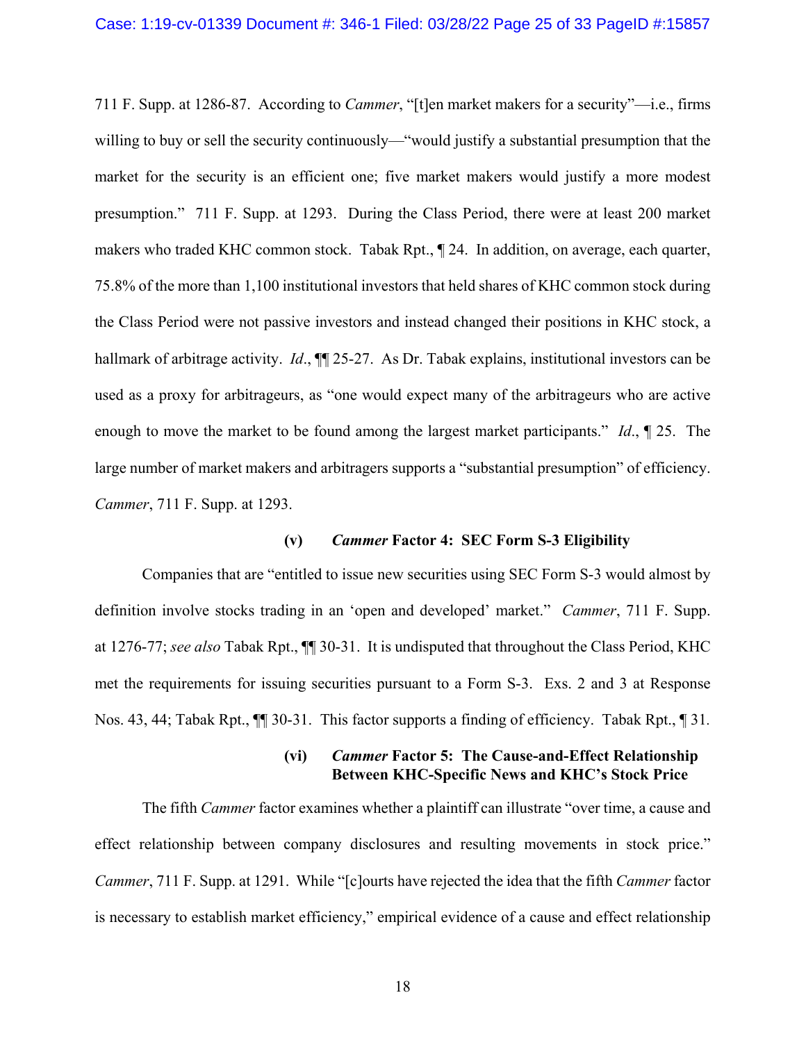711 F. Supp. at 1286-87. According to *Cammer*, "[t]en market makers for a security"—i.e., firms willing to buy or sell the security continuously—"would justify a substantial presumption that the market for the security is an efficient one; five market makers would justify a more modest presumption." 711 F. Supp. at 1293. During the Class Period, there were at least 200 market makers who traded KHC common stock. Tabak Rpt., ¶ 24. In addition, on average, each quarter, 75.8% of the more than 1,100 institutional investors that held shares of KHC common stock during the Class Period were not passive investors and instead changed their positions in KHC stock, a hallmark of arbitrage activity. *Id.*, **11** 25-27. As Dr. Tabak explains, institutional investors can be used as a proxy for arbitrageurs, as "one would expect many of the arbitrageurs who are active enough to move the market to be found among the largest market participants." *Id*., ¶ 25. The large number of market makers and arbitragers supports a "substantial presumption" of efficiency. *Cammer*, 711 F. Supp. at 1293.

#### **(v)** *Cammer* **Factor 4: SEC Form S-3 Eligibility**

Companies that are "entitled to issue new securities using SEC Form S-3 would almost by definition involve stocks trading in an 'open and developed' market." *Cammer*, 711 F. Supp. at 1276-77; *see also* Tabak Rpt., ¶¶ 30-31. It is undisputed that throughout the Class Period, KHC met the requirements for issuing securities pursuant to a Form S-3. Exs. 2 and 3 at Response Nos. 43, 44; Tabak Rpt., ¶¶ 30-31. This factor supports a finding of efficiency. Tabak Rpt., ¶ 31*.* 

### **(vi)** *Cammer* **Factor 5: The Cause-and-Effect Relationship Between KHC-Specific News and KHC's Stock Price**

The fifth *Cammer* factor examines whether a plaintiff can illustrate "over time, a cause and effect relationship between company disclosures and resulting movements in stock price." *Cammer*, 711 F. Supp. at 1291. While "[c]ourts have rejected the idea that the fifth *Cammer* factor is necessary to establish market efficiency," empirical evidence of a cause and effect relationship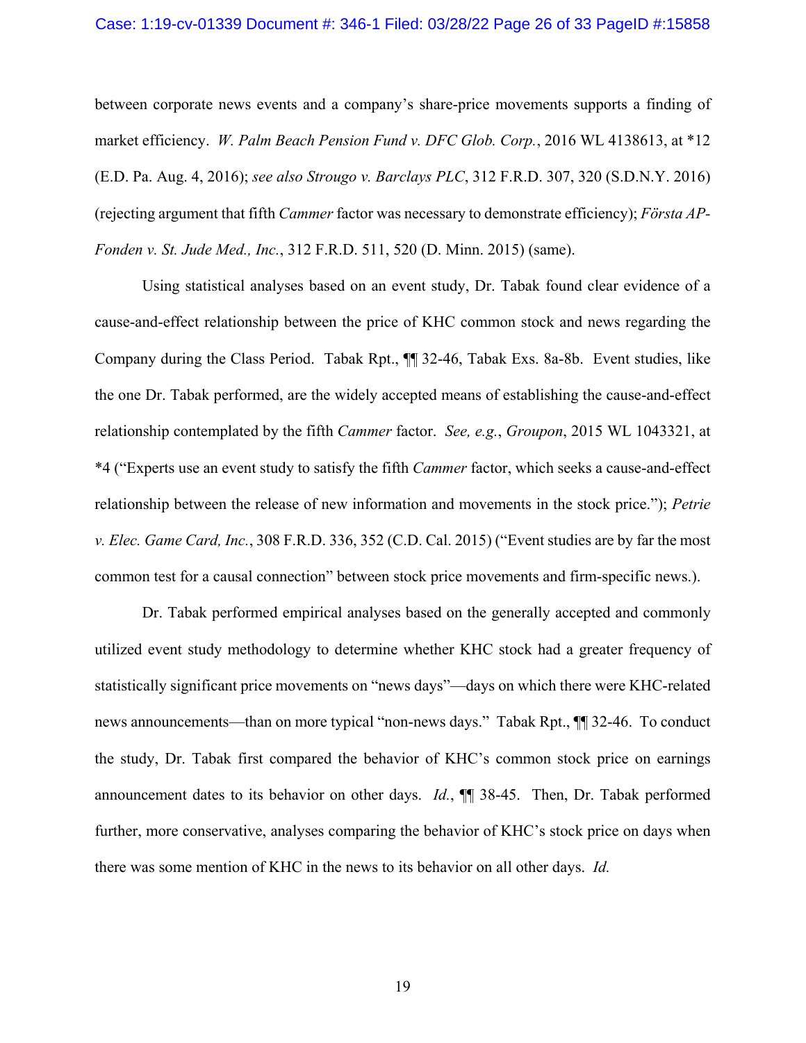#### Case: 1:19-cv-01339 Document #: 346-1 Filed: 03/28/22 Page 26 of 33 PageID #:15858

between corporate news events and a company's share-price movements supports a finding of market efficiency. *W. Palm Beach Pension Fund v. DFC Glob. Corp.*, 2016 WL 4138613, at \*12 (E.D. Pa. Aug. 4, 2016); *see also Strougo v. Barclays PLC*, 312 F.R.D. 307, 320 (S.D.N.Y. 2016) (rejecting argument that fifth *Cammer* factor was necessary to demonstrate efficiency); *Första AP-Fonden v. St. Jude Med., Inc.*, 312 F.R.D. 511, 520 (D. Minn. 2015) (same).

Using statistical analyses based on an event study, Dr. Tabak found clear evidence of a cause-and-effect relationship between the price of KHC common stock and news regarding the Company during the Class Period. Tabak Rpt., ¶¶ 32-46, Tabak Exs. 8a-8b. Event studies, like the one Dr. Tabak performed, are the widely accepted means of establishing the cause-and-effect relationship contemplated by the fifth *Cammer* factor. *See, e.g.*, *Groupon*, 2015 WL 1043321, at \*4 ("Experts use an event study to satisfy the fifth *Cammer* factor, which seeks a cause-and-effect relationship between the release of new information and movements in the stock price."); *Petrie v. Elec. Game Card, Inc.*, 308 F.R.D. 336, 352 (C.D. Cal. 2015) ("Event studies are by far the most common test for a causal connection" between stock price movements and firm-specific news.).

Dr. Tabak performed empirical analyses based on the generally accepted and commonly utilized event study methodology to determine whether KHC stock had a greater frequency of statistically significant price movements on "news days"—days on which there were KHC-related news announcements—than on more typical "non-news days." Tabak Rpt., ¶¶ 32-46. To conduct the study, Dr. Tabak first compared the behavior of KHC's common stock price on earnings announcement dates to its behavior on other days. *Id.*, ¶¶ 38-45. Then, Dr. Tabak performed further, more conservative, analyses comparing the behavior of KHC's stock price on days when there was some mention of KHC in the news to its behavior on all other days. *Id.*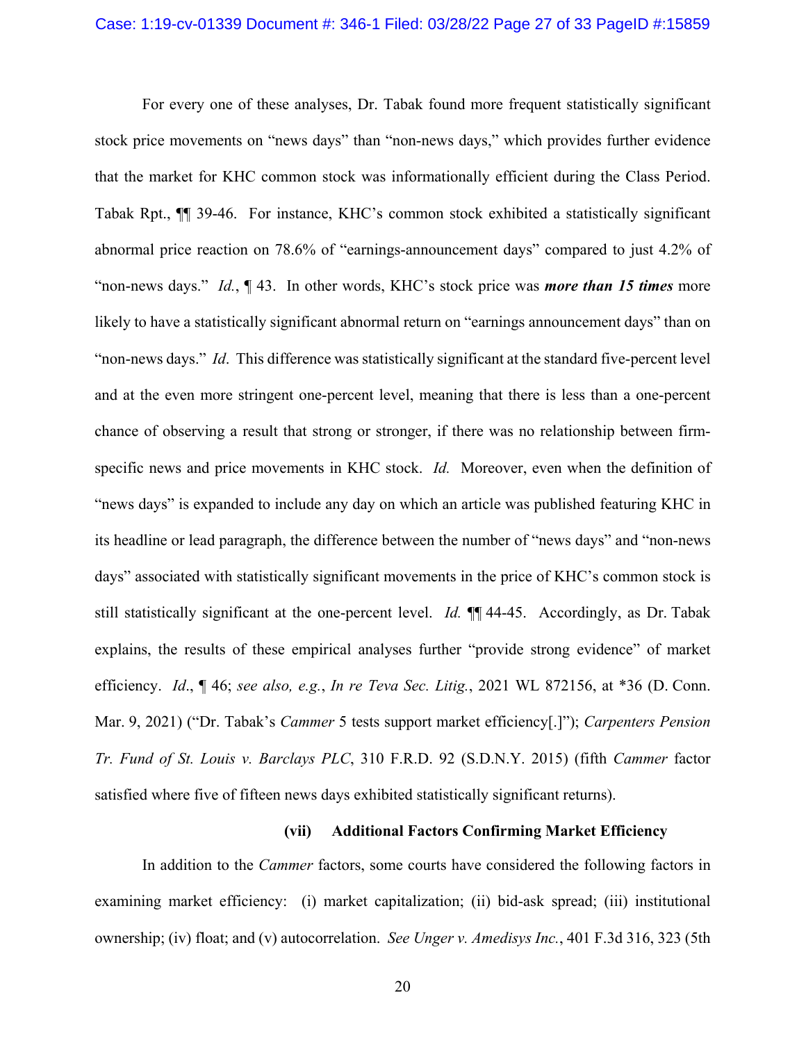For every one of these analyses, Dr. Tabak found more frequent statistically significant stock price movements on "news days" than "non-news days," which provides further evidence that the market for KHC common stock was informationally efficient during the Class Period. Tabak Rpt., ¶¶ 39-46. For instance, KHC's common stock exhibited a statistically significant abnormal price reaction on 78.6% of "earnings-announcement days" compared to just 4.2% of "non-news days." *Id.*, ¶ 43. In other words, KHC's stock price was *more than 15 times* more likely to have a statistically significant abnormal return on "earnings announcement days" than on "non-news days." *Id*. This difference was statistically significant at the standard five-percent level and at the even more stringent one-percent level, meaning that there is less than a one-percent chance of observing a result that strong or stronger, if there was no relationship between firmspecific news and price movements in KHC stock. *Id.* Moreover, even when the definition of "news days" is expanded to include any day on which an article was published featuring KHC in its headline or lead paragraph, the difference between the number of "news days" and "non-news days" associated with statistically significant movements in the price of KHC's common stock is still statistically significant at the one-percent level. *Id.* ¶¶ 44-45. Accordingly, as Dr. Tabak explains, the results of these empirical analyses further "provide strong evidence" of market efficiency. *Id*., ¶ 46; *see also, e.g.*, *In re Teva Sec. Litig.*, 2021 WL 872156, at \*36 (D. Conn. Mar. 9, 2021) ("Dr. Tabak's *Cammer* 5 tests support market efficiency[.]"); *Carpenters Pension Tr. Fund of St. Louis v. Barclays PLC*, 310 F.R.D. 92 (S.D.N.Y. 2015) (fifth *Cammer* factor satisfied where five of fifteen news days exhibited statistically significant returns).

#### **(vii) Additional Factors Confirming Market Efficiency**

In addition to the *Cammer* factors, some courts have considered the following factors in examining market efficiency: (i) market capitalization; (ii) bid-ask spread; (iii) institutional ownership; (iv) float; and (v) autocorrelation. *See Unger v. Amedisys Inc.*, 401 F.3d 316, 323 (5th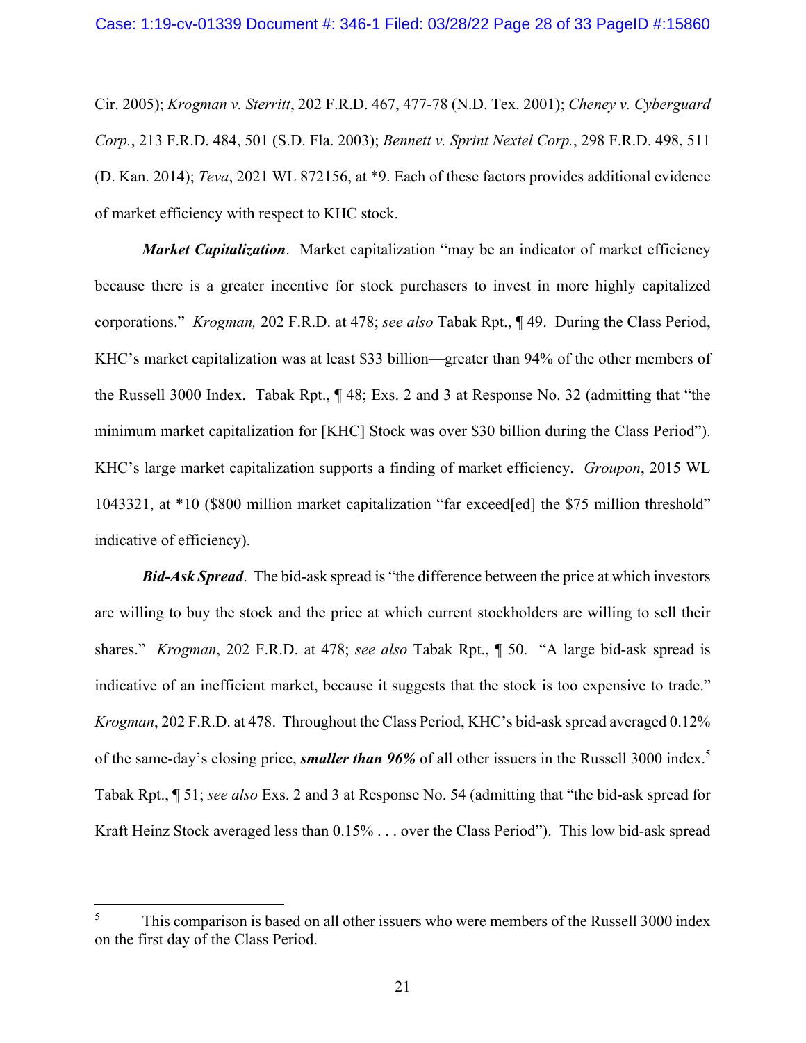Cir. 2005); *Krogman v. Sterritt*, 202 F.R.D. 467, 477-78 (N.D. Tex. 2001); *Cheney v. Cyberguard Corp.*, 213 F.R.D. 484, 501 (S.D. Fla. 2003); *Bennett v. Sprint Nextel Corp.*, 298 F.R.D. 498, 511 (D. Kan. 2014); *Teva*, 2021 WL 872156, at \*9. Each of these factors provides additional evidence of market efficiency with respect to KHC stock.

*Market Capitalization*. Market capitalization "may be an indicator of market efficiency because there is a greater incentive for stock purchasers to invest in more highly capitalized corporations." *Krogman,* 202 F.R.D. at 478; *see also* Tabak Rpt., ¶ 49. During the Class Period, KHC's market capitalization was at least \$33 billion—greater than 94% of the other members of the Russell 3000 Index. Tabak Rpt., ¶ 48; Exs. 2 and 3 at Response No. 32 (admitting that "the minimum market capitalization for [KHC] Stock was over \$30 billion during the Class Period"). KHC's large market capitalization supports a finding of market efficiency. *Groupon*, 2015 WL 1043321, at \*10 (\$800 million market capitalization "far exceed[ed] the \$75 million threshold" indicative of efficiency).

*Bid-Ask Spread*. The bid-ask spread is "the difference between the price at which investors are willing to buy the stock and the price at which current stockholders are willing to sell their shares." *Krogman*, 202 F.R.D. at 478; *see also* Tabak Rpt., ¶ 50. "A large bid-ask spread is indicative of an inefficient market, because it suggests that the stock is too expensive to trade." *Krogman*, 202 F.R.D. at 478. Throughout the Class Period, KHC's bid-ask spread averaged 0.12% of the same-day's closing price, *smaller than 96%* of all other issuers in the Russell 3000 index.5 Tabak Rpt., ¶ 51; *see also* Exs. 2 and 3 at Response No. 54 (admitting that "the bid-ask spread for Kraft Heinz Stock averaged less than 0.15% . . . over the Class Period"). This low bid-ask spread

1

<sup>5</sup> This comparison is based on all other issuers who were members of the Russell 3000 index on the first day of the Class Period.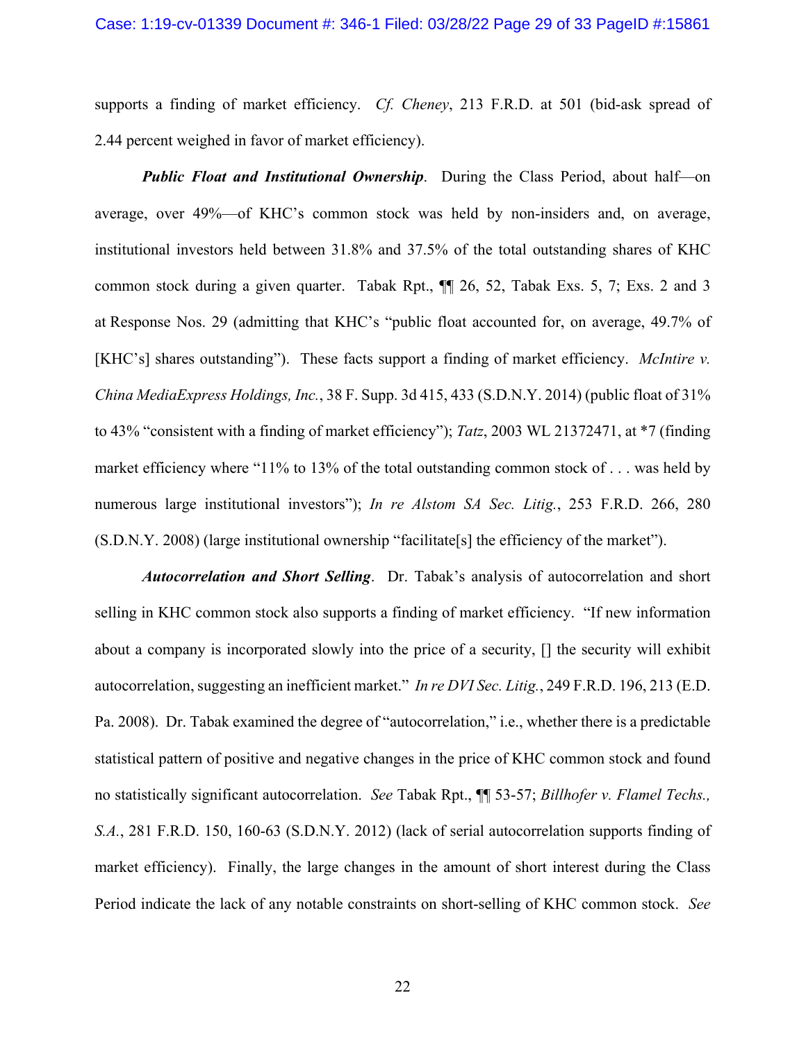supports a finding of market efficiency. *Cf. Cheney*, 213 F.R.D. at 501 (bid-ask spread of 2.44 percent weighed in favor of market efficiency).

*Public Float and Institutional Ownership*. During the Class Period, about half—on average, over 49%—of KHC's common stock was held by non-insiders and, on average, institutional investors held between 31.8% and 37.5% of the total outstanding shares of KHC common stock during a given quarter. Tabak Rpt., ¶¶ 26, 52, Tabak Exs. 5, 7; Exs. 2 and 3 at Response Nos. 29 (admitting that KHC's "public float accounted for, on average, 49.7% of [KHC's] shares outstanding"). These facts support a finding of market efficiency. *McIntire v. China MediaExpress Holdings, Inc.*, 38 F. Supp. 3d 415, 433 (S.D.N.Y. 2014) (public float of 31% to 43% "consistent with a finding of market efficiency"); *Tatz*, 2003 WL 21372471, at \*7 (finding market efficiency where "11% to 13% of the total outstanding common stock of ... was held by numerous large institutional investors"); *In re Alstom SA Sec. Litig.*, 253 F.R.D. 266, 280 (S.D.N.Y. 2008) (large institutional ownership "facilitate[s] the efficiency of the market").

*Autocorrelation and Short Selling*. Dr. Tabak's analysis of autocorrelation and short selling in KHC common stock also supports a finding of market efficiency. "If new information about a company is incorporated slowly into the price of a security, [] the security will exhibit autocorrelation, suggesting an inefficient market." *In re DVI Sec. Litig.*, 249 F.R.D. 196, 213 (E.D. Pa. 2008). Dr. Tabak examined the degree of "autocorrelation," i.e., whether there is a predictable statistical pattern of positive and negative changes in the price of KHC common stock and found no statistically significant autocorrelation. *See* Tabak Rpt., ¶¶ 53-57; *Billhofer v. Flamel Techs., S.A.*, 281 F.R.D. 150, 160-63 (S.D.N.Y. 2012) (lack of serial autocorrelation supports finding of market efficiency). Finally, the large changes in the amount of short interest during the Class Period indicate the lack of any notable constraints on short-selling of KHC common stock. *See*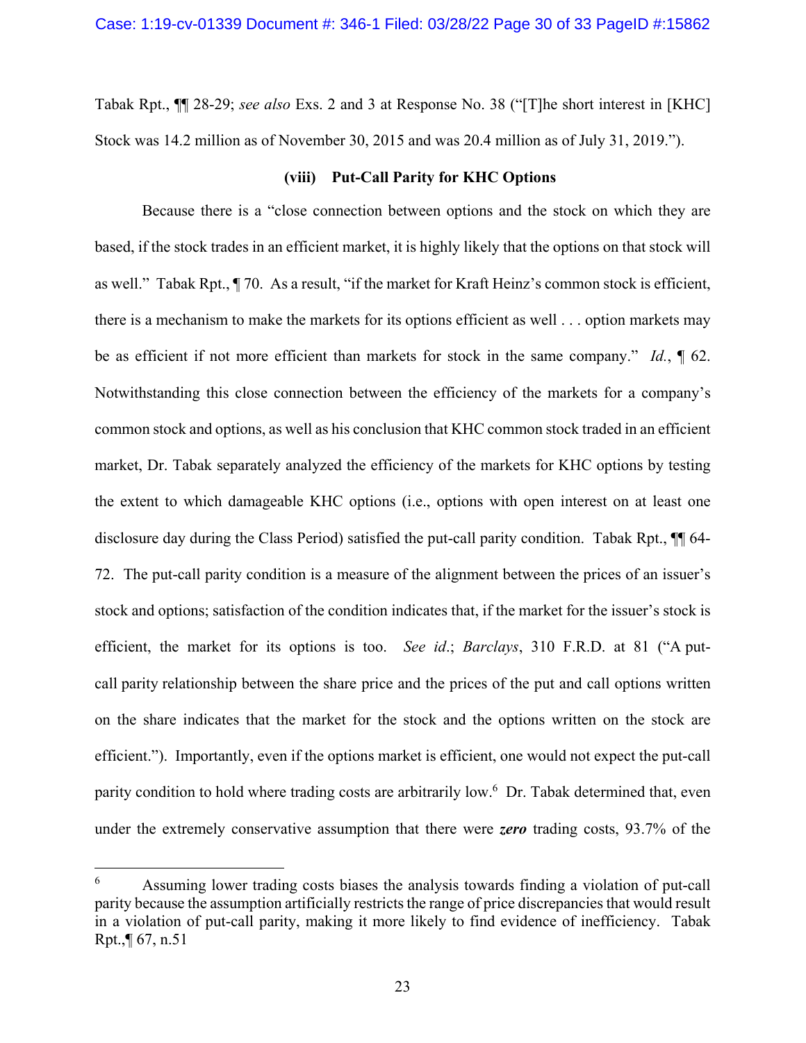Tabak Rpt., ¶¶ 28-29; *see also* Exs. 2 and 3 at Response No. 38 ("[T]he short interest in [KHC] Stock was 14.2 million as of November 30, 2015 and was 20.4 million as of July 31, 2019.").

# **(viii) Put-Call Parity for KHC Options**

Because there is a "close connection between options and the stock on which they are based, if the stock trades in an efficient market, it is highly likely that the options on that stock will as well." Tabak Rpt., ¶ 70. As a result, "if the market for Kraft Heinz's common stock is efficient, there is a mechanism to make the markets for its options efficient as well . . . option markets may be as efficient if not more efficient than markets for stock in the same company." *Id.*, ¶ 62. Notwithstanding this close connection between the efficiency of the markets for a company's common stock and options, as well as his conclusion that KHC common stock traded in an efficient market, Dr. Tabak separately analyzed the efficiency of the markets for KHC options by testing the extent to which damageable KHC options (i.e., options with open interest on at least one disclosure day during the Class Period) satisfied the put-call parity condition. Tabak Rpt.,  $\P$  64-72. The put-call parity condition is a measure of the alignment between the prices of an issuer's stock and options; satisfaction of the condition indicates that, if the market for the issuer's stock is efficient, the market for its options is too. *See id*.; *Barclays*, 310 F.R.D. at 81 ("A putcall parity relationship between the share price and the prices of the put and call options written on the share indicates that the market for the stock and the options written on the stock are efficient."). Importantly, even if the options market is efficient, one would not expect the put-call parity condition to hold where trading costs are arbitrarily low.<sup>6</sup> Dr. Tabak determined that, even under the extremely conservative assumption that there were *zero* trading costs, 93.7% of the

 $\overline{a}$ 

<sup>6</sup> Assuming lower trading costs biases the analysis towards finding a violation of put-call parity because the assumption artificially restricts the range of price discrepancies that would result in a violation of put-call parity, making it more likely to find evidence of inefficiency. Tabak Rpt.,¶ 67, n.51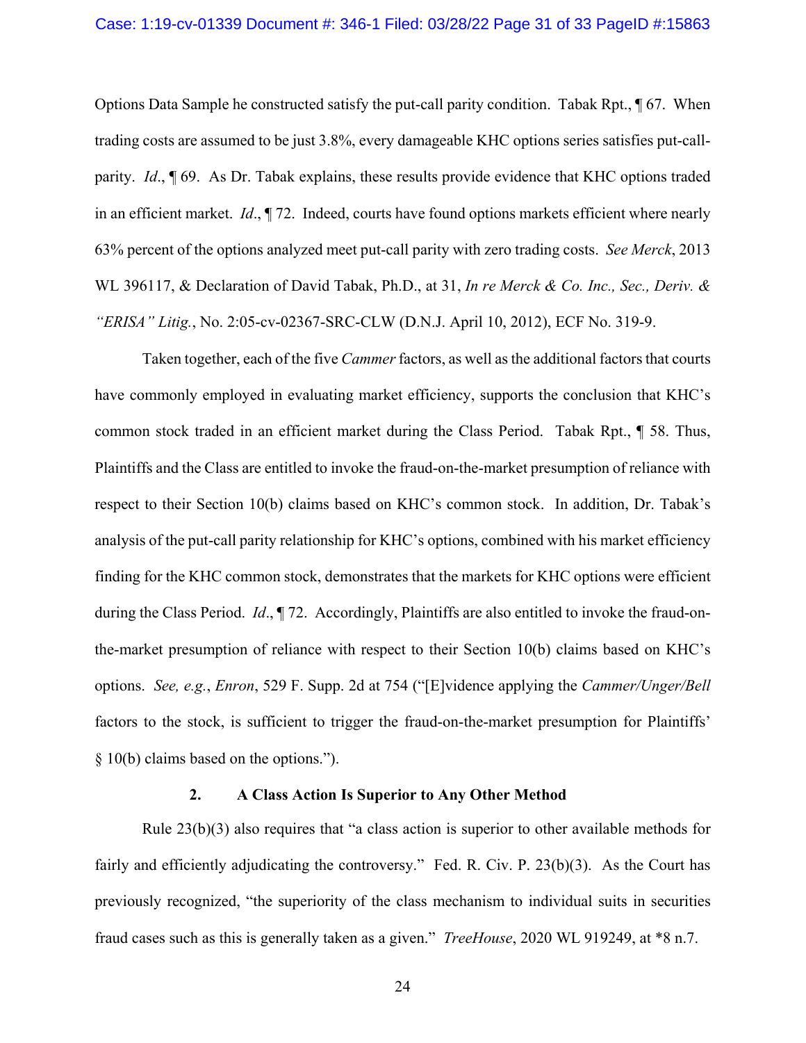Options Data Sample he constructed satisfy the put-call parity condition. Tabak Rpt., ¶ 67. When trading costs are assumed to be just 3.8%, every damageable KHC options series satisfies put-callparity. *Id*., ¶ 69. As Dr. Tabak explains, these results provide evidence that KHC options traded in an efficient market. *Id*., ¶ 72. Indeed, courts have found options markets efficient where nearly 63% percent of the options analyzed meet put-call parity with zero trading costs. *See Merck*, 2013 WL 396117, & Declaration of David Tabak, Ph.D., at 31, *In re Merck & Co. Inc., Sec., Deriv. & "ERISA" Litig.*, No. 2:05-cv-02367-SRC-CLW (D.N.J. April 10, 2012), ECF No. 319-9.

Taken together, each of the five *Cammer* factors, as well as the additional factors that courts have commonly employed in evaluating market efficiency, supports the conclusion that KHC's common stock traded in an efficient market during the Class Period. Tabak Rpt., ¶ 58. Thus, Plaintiffs and the Class are entitled to invoke the fraud-on-the-market presumption of reliance with respect to their Section 10(b) claims based on KHC's common stock. In addition, Dr. Tabak's analysis of the put-call parity relationship for KHC's options, combined with his market efficiency finding for the KHC common stock, demonstrates that the markets for KHC options were efficient during the Class Period. *Id*., ¶ 72. Accordingly, Plaintiffs are also entitled to invoke the fraud-onthe-market presumption of reliance with respect to their Section 10(b) claims based on KHC's options. *See, e.g.*, *Enron*, 529 F. Supp. 2d at 754 ("[E]vidence applying the *Cammer/Unger/Bell* factors to the stock, is sufficient to trigger the fraud-on-the-market presumption for Plaintiffs' § 10(b) claims based on the options.").

#### **2. A Class Action Is Superior to Any Other Method**

Rule 23(b)(3) also requires that "a class action is superior to other available methods for fairly and efficiently adjudicating the controversy." Fed. R. Civ. P. 23(b)(3). As the Court has previously recognized, "the superiority of the class mechanism to individual suits in securities fraud cases such as this is generally taken as a given." *TreeHouse*, 2020 WL 919249, at \*8 n.7.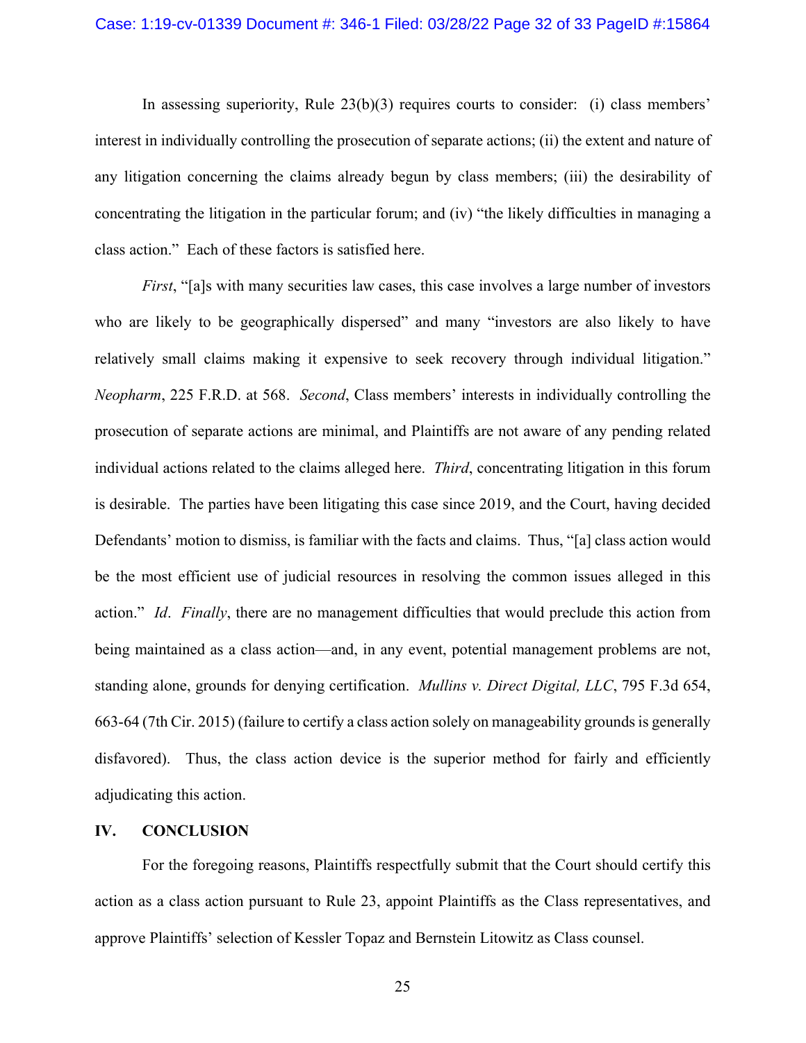In assessing superiority, Rule  $23(b)(3)$  requires courts to consider: (i) class members' interest in individually controlling the prosecution of separate actions; (ii) the extent and nature of any litigation concerning the claims already begun by class members; (iii) the desirability of concentrating the litigation in the particular forum; and (iv) "the likely difficulties in managing a class action." Each of these factors is satisfied here.

*First*, "[a]s with many securities law cases, this case involves a large number of investors who are likely to be geographically dispersed" and many "investors are also likely to have relatively small claims making it expensive to seek recovery through individual litigation." *Neopharm*, 225 F.R.D. at 568. *Second*, Class members' interests in individually controlling the prosecution of separate actions are minimal, and Plaintiffs are not aware of any pending related individual actions related to the claims alleged here. *Third*, concentrating litigation in this forum is desirable. The parties have been litigating this case since 2019, and the Court, having decided Defendants' motion to dismiss, is familiar with the facts and claims. Thus, "[a] class action would be the most efficient use of judicial resources in resolving the common issues alleged in this action." *Id*. *Finally*, there are no management difficulties that would preclude this action from being maintained as a class action—and, in any event, potential management problems are not, standing alone, grounds for denying certification. *Mullins v. Direct Digital, LLC*, 795 F.3d 654, 663-64 (7th Cir. 2015) (failure to certify a class action solely on manageability grounds is generally disfavored). Thus, the class action device is the superior method for fairly and efficiently adjudicating this action.

#### **IV. CONCLUSION**

For the foregoing reasons, Plaintiffs respectfully submit that the Court should certify this action as a class action pursuant to Rule 23, appoint Plaintiffs as the Class representatives, and approve Plaintiffs' selection of Kessler Topaz and Bernstein Litowitz as Class counsel.